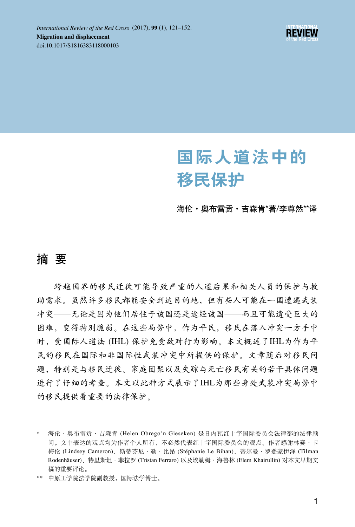

# 国际人道法中的 移民保护

海伦·奥布雷贡·吉森肯\*著/李尊然\*\*译

# 摘 要

跨越国界的移民迁徙可能导致严重的人道后果和相关人员的保护与救 助需求。虽然许多移民都能安全到达目的地,但有些人可能在一国遭遇武装 冲突——无论是因为他们居住于该国还是途经该国——而且可能遭受巨大的 困难,变得特别脆弱。在这些局势中,作为平民,移民在落入冲突一方手中 时,受国际人道法 (IHL) 保护免受敌对行为影响。本文概述了IHL为作为平 民的移民在国际和非国际性武装冲突中所提供的保护。文章随后对移民问 题,特别是与移民迁徙、家庭团聚以及失踪与死亡移民有关的若干具体问题 进行了仔细的考查。本文以此种方式展示了IHL为那些身处武装冲突局势中 的移民提供着重要的法律保护。

海伦·奥布雷贡·吉森肯 (Helen Obrego'n Gieseken) 是日内瓦红十字国际委员会法律部的法律顾 问。文中表达的观点均为作者个人所有,不必然代表红十字国际委员会的观点。作者感谢林赛·卡 梅伦 (Lindsey Cameron)、斯蒂芬尼·勒·比昂 (Stéphanie Le Bihan)、蒂尔曼·罗登豪伊泽 (Tilman Rodenhäuser)、特里斯坦·菲拉罗 (Tristan Ferraro) 以及埃勒姆·海鲁林 (Elem Khairullin) 对本文早期文 稿的重要评论。

<sup>\*\*</sup> 中原工学院法学院副教授,国际法学博士。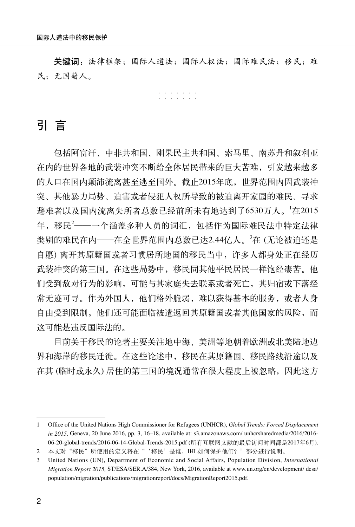关键词:法律框架;国际人道法;国际人权法;国际难民法;移民;难 民;无国籍人。

> ······· ·······

# 引 言

包括阿富汗、中非共和国、刚果民主共和国、索马里、南苏丹和叙利亚 在内的世界各地的武装冲突不断给全体居民带来的巨大苦难,引发越来越多 的人口在国内颠沛流离甚至逃至国外。截止2015年底,世界范围内因武装冲 突、其他暴力局势、迫害或者侵犯人权所导致的被迫离开家园的难民、寻求 避难者以及国内流离失所者总数已经前所未有地达到了6530万人。<sup>1</sup> 在2015 年,移民<sup>2</sup> ——一个涵盖多种人员的词汇,包括作为国际难民法中特定法律 类别的难民在内——在全世界范围内总数已达2.44亿人。<sup>3</sup>在 (无论被迫还是 自愿) 离开其原籍国或者习惯居所地国的移民当中,许多人都身处正在经历 武装冲突的第三国。在这些局势中,移民同其他平民居民一样饱经凄苦。他 们受到敌对行为的影响,可能与其家庭失去联系或者死亡,其归宿或下落经 常无迹可寻。作为外国人,他们格外脆弱,难以获得基本的服务,或者人身 自由受到限制。他们还可能面临被遣返回其原籍国或者其他国家的风险,而 这可能是违反国际法的。

目前关于移民的论著主要关注地中海、美洲等地朝着欧洲或北美陆地边 界和海岸的移民迁徙。在这些论述中,移民在其原籍国、移民路线沿途以及 在其 (临时或永久) 居住的第三国的境况通常在很大程度上被忽略,因此这方

<sup>1</sup> Office of the United Nations High Commissioner for Refugees (UNHCR), *Global Trends: Forced Displacement in 2015,* Geneva, 20 June 2016, pp. 3, 16–18, available at: s3.amazonaws.com/ unhcrsharedmedia/2016/2016- 06-20-global-trends/2016-06-14-Global-Trends-2015.pdf (所有互联网文献的最后访问时间都是2017年6月).

<sup>2</sup> 本文对"移民"所使用的定义将在"'移民'是谁,IHL如何保护他们?"部分进行说明。

<sup>3</sup> United Nations (UN), Department of Economic and Social Affairs, Population Division, *International Migration Report 2015,* ST/ESA/SER.A/384, New York, 2016, available at www.un.org/en/development/ desa/ population/migration/publications/migrationreport/docs/MigrationReport2015.pdf.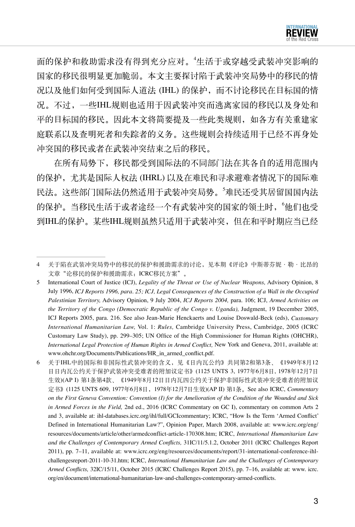

面的保护和救助需求没有得到充分应对。"生活于或穿越受武装冲突影响的 国家的移民很明显更加脆弱。本文主要探讨陷于武装冲突局势中的移民的情 况以及他们如何受到国际人道法 (IHL) 的保护, 而不讨论移民在目标国的情 况。不过,一些IHL规则也适用于因武装冲突而逃离家园的移民以及身处和 平的目标国的移民。因此本文将简要提及一些此类规则,如各方有关重建家 庭联系以及查明死者和失踪者的义务。这些规则会持续适用于已经不再身处 冲突国的移民或者在武装冲突结束之后的移民。

在所有局势下,移民都受到国际法的不同部门法在其各自的适用范围内 的保护,尤其是国际人权法 (IHRL) 以及在难民和寻求避难者情况下的国际难 民法。这些部门国际法仍然适用于武装冲突局势。<sup>5</sup> 难民还受其居留国国内法 的保护。当移民生活于或者途经一个有武装冲突的国家的领土时, "他们也受 到IHL的保护。某些IHL规则虽然只适用于武装冲突,但在和平时期应当已经

<sup>4</sup> 关于陷在武装冲突局势中的移民的保护和援助需求的讨论,见本期《评论》中斯蒂芬妮·勒·比昂的 文章"论移民的保护和援助需求:ICRC移民方案"。

<sup>5</sup> International Court of Justice (ICJ), *Legality of the Threat or Use of Nuclear Weapons,* Advisory Opinion, 8 July 1996, *ICJ Reports 1996, para. 25; ICJ, Legal Consequences of the Construction of a Wall in the Occupied Palestinian Territory,* Advisory Opinion, 9 July 2004, *ICJ Reports 2004,* para. 106; ICJ, *Armed Activities on the Territory of the Congo (Democratic Republic of the Congo v. Uganda),* Judgment, 19 December 2005, ICJ Reports 2005, para. 216. See also Jean-Marie Henckaerts and Louise Doswald-Beck (eds), *Customary International Humanitarian Law,* Vol. 1: *Rules,* Cambridge University Press, Cambridge, 2005 (ICRC Customary Law Study), pp. 299–305; UN Office of the High Commissioner for Human Rights (OHCHR), *International Legal Protection of Human Rights in Armed Conflict,* New York and Geneva, 2011, available at: www.ohchr.org/Documents/Publications/HR\_in\_armed\_conflict.pdf.

<sup>6</sup> 关于IHL中的国际和非国际性武装冲突的含义,见《日内瓦公约》共同第2和第3条、《1949年8月12 日日内瓦公约关于保护武装冲突受难者的附加议定书》(1125 UNTS 3, 1977年6月8日, 1978年12月7日 生效)(AP I) 第1条第4款、《1949年8月12日日内瓦四公约关于保护非国际性武装冲突受难者的附加议 定书》(1125 UNTS 609, 1977年6月8日,1978年12月7日生效)(AP II) 第1条。See also ICRC, *Commentary on the First Geneva Convention: Convention (I) for the Amelioration of the Condition of the Wounded and Sick in Armed Forces in the Field,* 2nd ed., 2016 (ICRC Commentary on GC I), commentary on common Arts 2 and 3, available at: ihl-databases.icrc.org/ihl/full/GCIcommentary; ICRC, "How Is the Term 'Armed Conflict' Defined in International Humanitarian Law?", Opinion Paper, March 2008, available at: www.icrc.org/eng/ resources/documents/article/other/armedconflict-article-170308.htm; ICRC, *International Humanitarian Law and the Challenges of Contemporary Armed Conflicts,* 31IC/11/5.1.2, October 2011 (ICRC Challenges Report 2011), pp. 7–11, available at: www.icrc.org/eng/resources/documents/report/31-international-conference-ihlchallengesreport-2011-10-31.htm; ICRC, *International Humanitarian Law and the Challenges of Contemporary Armed Conflicts,* 32IC/15/11, October 2015 (ICRC Challenges Report 2015), pp. 7–16, available at: www. icrc. org/en/document/international-humanitarian-law-and-challenges-contemporary-armed-conflicts.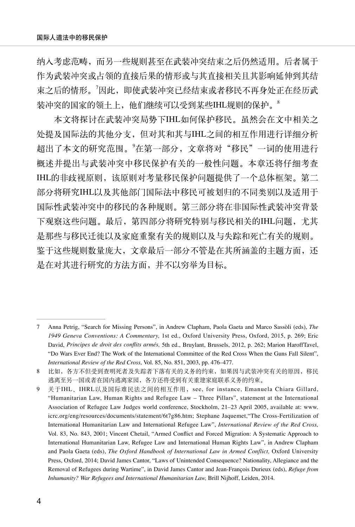纳入考虑范畴,而另一些规则甚至在武装冲突结束之后仍然适用。后者属于 作为武装冲突或占领的直接后果的情形或与其直接相关且其影响延伸到其结 束之后的情形。<sup>7</sup>因此,即使武装冲突已经结束或者移民不再身处正在经历武 装冲突的国家的领土上,他们继续可以受到某些IHL规则的保护。<sup>8</sup>

本文将探讨在武装冲突局势下IHL如何保护移民。虽然会在文中相关之 处提及国际法的其他分支,但对其和其与IHL之间的相互作用进行详细分析 超出了本文的研究范围。<sup>9</sup>在第一部分,文章将对"移民"一词的使用进行 概述并提出与武装冲突中移民保护有关的一般性问题。本章还将仔细考查 IHL的非歧视原则,该原则对考量移民保护问题提供了一个总体框架。第二 部分将研究IHL以及其他部门国际法中移民可被划归的不同类别以及适用于 国际性武装冲突中的移民的各种规则。第三部分将在非国际性武装冲突背景 下观察这些问题。最后,第四部分将研究特别与移民相关的IHL问题,尤其 是那些与移民迁徙以及家庭重聚有关的规则以及与失踪和死亡有关的规则。 鉴于这些规则数量庞大,文章最后一部分不管是在其所涵盖的主题方面,还 是在对其进行研究的方法方面,并不以穷举为目标。

<sup>7</sup> Anna Petrig, "Search for Missing Persons", in Andrew Clapham, Paola Gaeta and Marco Sassòli (eds), *The 1949 Geneva Conventions: A Commentary,* 1st ed., Oxford University Press, Oxford, 2015, p. 269; Eric David, *Principes de droit des conflits armés,* 5th ed., Bruylant, Brussels, 2012, p. 262; Marion HaroffTavel, "Do Wars Ever End? The Work of the International Committee of the Red Cross When the Guns Fall Silent", *International Review of the Red Cross,* Vol. 85, No. 851, 2003, pp. 476–477.

<sup>8</sup> 比如,各方不但受到查明死者及失踪者下落有关的义务的约束,如果因与武装冲突有关的原因,移民 逃离至另一国或者在国内逃离家园,各方还将受到有关重建家庭联系义务的约束。

<sup>9</sup> 关于IHL、IHRL以及国际难民法之间的相互作用,see, for instance, Emanuela Chiara Gillard, "Humanitarian Law, Human Rights and Refugee Law – Three Pillars", statement at the International Association of Refugee Law Judges world conference, Stockholm, 21–23 April 2005, available at: www. icrc.org/eng/resources/documents/statement/6t7g86.htm; Stephane Jaquemet,"The Cross-Fertilization of International Humanitarian Law and International Refugee Law", *International Review of the Red Cross,* Vol. 83, No. 843, 2001; Vincent Chetail, "Armed Conflict and Forced Migration: A Systematic Approach to International Humanitarian Law, Refugee Law and International Human Rights Law", in Andrew Clapham and Paola Gaeta (eds), *The Oxford Handbook of International Law in Armed Conflict,* Oxford University Press, Oxford, 2014; David James Cantor, "Laws of Unintended Consequence? Nationality, Allegiance and the Removal of Refugees during Wartime", in David James Cantor and Jean-François Durieux (eds), *Refuge from Inhumanity? War Refugees and International Humanitarian Law,* Brill Nijhoff, Leiden, 2014.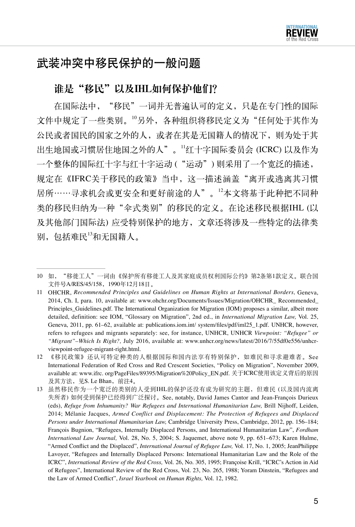

# 武装冲突中移民保护的一般问题

#### 谁是"移民"以及IHL如何保护他们?

在国际法中,"移民"一词并无普遍认可的定义,只是在专门性的国际 文件中规定了一些类别。<sup>10</sup>另外,各种组织将移民定义为"任何处于其作为 公民或者国民的国家之外的人,或者在其是无国籍人的情况下,则为处于其 出生地国或习惯居住地国之外的人"。<sup>11</sup>红十字国际委员会 (ICRC) 以及作为 一个整体的国际红十字与红十字运动 ("运动") 则采用了一个宽泛的描述, 规定在《IFRC关于移民的政策》当中,这一描述涵盖"离开或逃离其习惯 居所……寻求机会或更安全和更好前途的人"。<sup>12</sup>本文将基于此种把不同种 类的移民归纳为一种"伞式类别"的移民的定义。在论述移民根据IHL (以 及其他部门国际法) 应受特别保护的地方,文章还将涉及一些特定的法律类 别,包括难民13和无国籍人。

<sup>10</sup> 如,"移徙工人"一词由《保护所有移徙工人及其家庭成员权利国际公约》第2条第1款定义。联合国 文件号A/RES/45/158,1990年12月18日。

<sup>11</sup> OHCHR, *Recommended Principles and Guidelines on Human Rights at International Borders,* Geneva, 2014, Ch. I, para. 10, available at: www.ohchr.org/Documents/Issues/Migration/OHCHR\_ Recommended\_ Principles\_Guidelines.pdf. The International Organization for Migration (IOM) proposes a similar, albeit more detailed, definition: see IOM, "Glossary on Migration", 2nd ed., in *International Migration Law,* Vol. 25, Geneva, 2011, pp. 61–62, available at: publications.iom.int/ system/files/pdf/iml25\_1.pdf. UNHCR, however, refers to refugees and migrants separately: see, for instance, UNHCR, UNHCR *Viewpoint: "Refugee" or "Migrant"–Which Is Right?,* July 2016, available at: www.unhcr.org/news/latest/2016/7/55df0e556/unhcrviewpoint-refugee-migrant-right.html.

<sup>12</sup> 《移民政策》还认可特定种类的人根据国际和国内法享有特别保护,如难民和寻求避难者。See International Federation of Red Cross and Red Crescent Societies, "Policy on Migration", November 2009, available at: www.ifrc. org/PageFiles/89395/Migration%20Policy\_EN.pdf. 关于ICRC使用该定义背后的原因 及其方法,见S. Le Bhan,前注4。

<sup>13</sup> 虽然移民作为一个宽泛的类别的人受到IHL的保护还没有成为研究的主题,但难民 (以及国内流离 失所者) 如何受到保护已经得到广泛探讨。See, notably, David James Cantor and Jean-François Durieux (eds), *Refuge from Inhumanity? War Refugees and International Humanitarian Law,* Brill Nijhoff, Leiden, 2014; Mélanie Jacques, *Armed Conflict and Displacement: The Protection of Refugees and Displaced Persons under International Humanitarian Law,* Cambridge University Press, Cambridge, 2012, pp. 156–184; François Bugnion, "Refugees, Internally Displaced Persons, and International Humanitarian Law", *Fordham International Law Journal,* Vol. 28, No. 5, 2004; S. Jaquemet, above note 9, pp. 651–673; Karen Hulme, "Armed Conflict and the Displaced", *International Journal of Refugee Law,* Vol. 17, No. 1, 2005; JeanPhilippe Lavoyer, "Refugees and Internally Displaced Persons: International Humanitarian Law and the Role of the ICRC", *International Review of the Red Cross,* Vol. 26, No. 305, 1995; Françoise Krill, "ICRC's Action in Aid of Refugees", International Review of the Red Cross, Vol. 23, No. 265, 1988; Yoram Dinstein, "Refugees and the Law of Armed Conflict", *Israel Yearbook on Human Rights,* Vol. 12, 1982.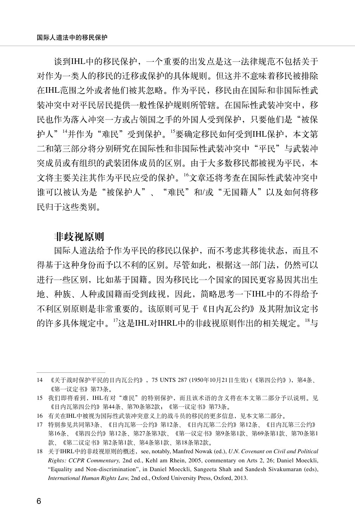谈到IHL中的移民保护,一个重要的出发点是这一法律规范不包括关于 对作为一类人的移民的迁移或保护的具体规则。但这并不意味着移民被排除 在IHL范围之外或者他们被其忽略。作为平民,移民由在国际和非国际性武 装冲突中对平民居民提供一般性保护规则所管辖。在国际性武装冲突中,移 民也作为落入冲突一方或占领国之手的外国人受到保护,只要他们是"被保 护人"<sup>14</sup>并作为"难民"受到保护。<sup>15</sup>要确定移民如何受到IHL保护,本文第 二和第三部分将分别研究在国际性和非国际性武装冲突中"平民"与武装冲 突成员或有组织的武装团体成员的区别。由于大多数移民都被视为平民,本 文将主要关注其作为平民应受的保护。16文章还将考查在国际性武装冲突中 谁可以被认为是"被保护人"、"难民"和/或"无国籍人"以及如何将移 民归于这些类别。

#### 非歧视原则

国际人道法给予作为平民的移民以保护,而不考虑其移徙状态,而且不 得基于这种身份而予以不利的区别。尽管如此,根据这一部门法,仍然可以 进行一些区别,比如基于国籍。因为移民比一个国家的国民更容易因其出生 地、种族、人种或国籍而受到歧视,因此,简略思考一下IHL中的不得给予 不利区别原则是非常重要的。该原则可见于《日内瓦公约》及其附加议定书 的许多具体规定中。<sup>17</sup>这是IHL对IHRL中的非歧视原则作出的相关规定。<sup>18</sup>与

<sup>14</sup> 《关于战时保护平民的日内瓦公约》,75 UNTS 287 (1950年10月21日生效) (《第四公约》),第4条、 《第一议定书》第73条。

<sup>15</sup> 我们即将看到,IHL有对"难民"的特别保护,而且该术语的含义将在本文第二部分予以说明。见 《日内瓦第四公约》第44条、第70条第2款;《第一议定书》第73条。

<sup>16</sup> 有关在IHL中被视为国际性武装冲突意义上的战斗员的移民的更多信息,见本文第二部分。

<sup>17</sup> 特别参见共同第3条、《日内瓦第一公约》第12条、《日内瓦第二公约》第12条、《日内瓦第三公约》 第16条、《第四公约》第12条、第27条第3款、《第一议定书》第9条第1款、第69条第1款、第70条第1 款、《第二议定书》第2条第1款、第4条第1款、第18条第2款。

<sup>18</sup> 关于IHRL中的非歧视原则的概述, see, notably, Manfred Nowak (ed.), *U.N. Covenant on Civil and Political Rights: CCPR Commentary,* 2nd ed., Kehl am Rhein, 2005, commentary on Arts 2, 26; Daniel Moeckli, "Equality and Non-discrimination", in Daniel Moeckli, Sangeeta Shah and Sandesh Sivakumaran (eds), *International Human Rights Law,* 2nd ed., Oxford University Press, Oxford, 2013.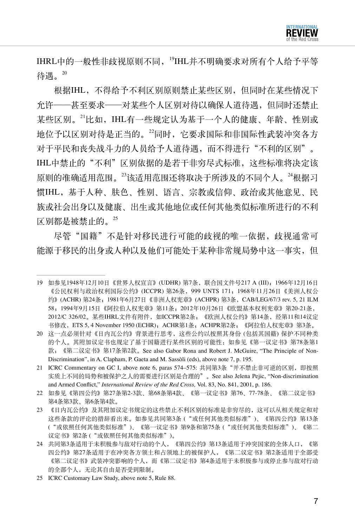

IHRL中的一般性非歧视原则不同,<sup>19</sup>IHL并不明确要求对所有个人给予平等 待遇。 $^{20}$ 

根据IHL,不得给予不利区别原则禁止某些区别,但同时在某些情况下 允许——甚至要求——对某些个人区别对待以确保人道待遇,但同时还禁止 某些区别。<sup>21</sup>比如,IHL有一些规定认为基于一个人的健康、年龄、性别或 地位予以区别对待是正当的。<sup>22</sup>同时,它要求国际和非国际性武装冲突各方 对于平民和丧失战斗力的人员给予人道待遇,而不得进行"不利的区别"。 IHL中禁止的"不利"区别依据的是若干非穷尽式标准,这些标准将决定该 原则的准确适用范围。<sup>23</sup>该适用范围还将取决于所涉及的不同个人。<sup>24</sup>根据习 惯IHL,基于人种、肤色、性别、语言、宗教或信仰、政治或其他意见、民 族或社会出身以及健康、出生或其他地位或任何其他类似标准所进行的不利 区别都是被禁止的。<sup>25</sup>

尽管"国籍"不是针对移民进行可能的歧视的唯一依据, 歧视通常可 能源于移民的出身或人种以及他们可能处于某种非常规局势中这一事实,但

<sup>19</sup> 如参见1948年12月10日《世界人权宣言》(UDHR) 第7条,联合国文件号217 A (III);1966年12月16日 《公民权利与政治权利国际公约》(ICCPR) 第26条,999 UNTS 171;1968年11月26日《美洲人权公 约》(ACHR) 第24条;1981年6月27日《非洲人权宪章》(ACHPR) 第3条, CAB/LEG/67/3 rev. 5, 21 ILM 58;1994年9月15日《阿拉伯人权宪章》第11条;2012年10月26日《欧盟基本权利宪章》第20-21条, 2012/C 326/02。某些IHRL文件有附件,如ICCPR第2条;《欧洲人权公约》第14条,经第11和14议定 书修改, ETS 5, 4 November 1950 (ECHR); ACHR第1条; ACHPR第2条; 《阿拉伯人权宪章》第3条。

<sup>20</sup> 这一点必须针对《日内瓦公约》背景进行思考,这些公约以按照其身份 (包括其国籍) 保护不同种类 的个人。其附加议定书也规定了基于国籍进行某些区别的可能性:如参见《第一议定书》第78条第1 款;《第二议定书》第17条第2款。See also Gabor Rona and Robert J. McGuire, "The Principle of Non-Discrimination", in A. Clapham, P. Gaeta and M. Sassòli (eds), above note 7, p. 195.

<sup>21</sup> ICRC Commentary on GC I, above note 6, paras 574–575: 共同第3条"并不禁止非可逆的区别,即按照 实质上不同的局势和被保护之人的需要进行区别是合理的"。See also Jelena Pejic, "Non-discrimination and Armed Conflict," *International Review of the Red Cross,* Vol. 83, No. 841, 2001, p. 186.

<sup>22</sup> 如参见《第四公约》第27条第2-3款、第68条第4款、《第一议定书》第76、77-78条、《第二议定书》 第4条第3款、第6条第4款。

<sup>23</sup> 《日内瓦公约》及其附加议定书规定的这些禁止不利区别的标准是非穷尽的,这可以从相关规定和对 这些条款的评论的措辞看出来。如参见共同第3条 ("或任何其他类似标准")、《第四公约》第13条 ("或依照任何其他类似标准")、《第一议定书》第9条和第75条 ("或任何其他类似标准")、《第二 议定书》第2条 ("或依照任何其他类似标准")。

<sup>24</sup> 共同第3条适用于未积极参与敌对行动的个人,《第四公约》第13条适用于冲突国家的全体人口,《第 四公约》第27条适用于在冲突各方领土和占领地上的被保护人,《第二议定书》第2条适用于全部受 《第二议定书》武装冲突影响的个人,而《第二议定书》第4条适用于未积极参与或停止参与敌对行动 的全部个人,无论其自由是否受到限制。

<sup>25</sup> ICRC Customary Law Study, above note 5, Rule 88.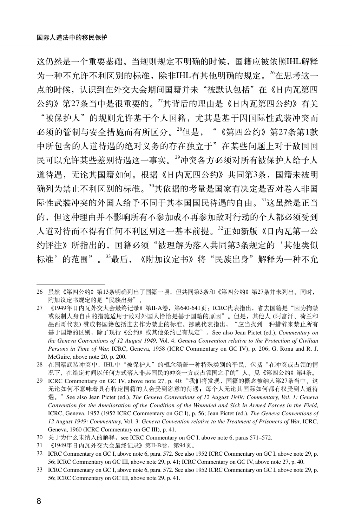这仍然是一个重要基础。当规则规定不明确的时候,国籍应被依照IHL解释 为一种不允许不利区别的标准,除非IHL有其他明确的规定。<sup>26</sup>在思考这一 点的时候,认识到在外交大会期间国籍并未"被默认包括"在《日内瓦第四 公约》第27条当中是很重要的。<sup>27</sup>其背后的理由是《日内瓦第四公约》有关 "被保护人"的规则允许基于个人国籍,尤其是基于因国际性武装冲突而 必须的管制与安全措施而有所区分。<sup>28</sup>但是, "《第四公约》第27条第1款 中所包含的人道待遇的绝对义务的存在独立于"在某些问题上对于敌国国 民可以允许某些差别待遇这一事实。<sup>29</sup>冲突各方必须对所有被保护人给予人 道待遇,无论其国籍如何。根据《日内瓦四公约》共同第3条,国籍未被明 确列为禁止不利区别的标准。<sup>30</sup>其依据的考量是国家有决定是否对卷入非国 际性武装冲突的外国人给予不同于其本国国民待遇的自由。<sup>31</sup>这虽然是正当 的,但这种理由并不影响所有不参加或不再参加敌对行动的个人都必须受到 人道对待而不得有任何不利区别这一基本前提。<sup>32</sup>正如新版《日内瓦第一公 约评注》所指出的,国籍必须"被理解为落入共同第3条规定的'其他类似 标准'的范围"。33最后,《附加议定书》将"民族出身"解释为一种不允

<sup>26</sup> 虽然《第四公约》第13条明确列出了国籍一项,但共同第3条和《第四公约》第27条并未列出。同时, 附加议定书规定的是"民族出身"。

<sup>27 《1949</sup>年日内瓦外交大会最终记录》第II-A卷,第640-641页: ICRC代表指出,省去国籍是"因为拘禁 或限制人身自由的措施适用于敌对外国人恰恰是基于国籍的原因"。但是,其他人 (阿富汗、荷兰和 墨西哥代表) 赞成将国籍包括进去作为禁止的标准。挪威代表指出, "应当找到一种措辞来禁止所有 基于国籍的区别,除了现行《公约》或其他条约已有规定"。See also Jean Pictet (ed.), *Commentary on the Geneva Conventions of 12 August 1949,* Vol. 4: *Geneva Convention relative to the Protection of Civilian Persons in Time of War,* ICRC, Geneva, 1958 (ICRC Commentary on GC IV), p. 206; G. Rona and R. J. McGuire, above note 20, p. 200.

<sup>28</sup> 在国籍武装冲突中,IHL中"被保护人"的概念涵盖一种特殊类别的平民,包括"在冲突或占领的情 况下,在给定时间以任何方式落入非其国民的冲突一方或占领国之手的"人。见《第四公约》第4条。

<sup>29</sup> ICRC Commentary on GC IV, above note 27, p. 40:"我们将发现,国籍的概念被纳入第27条当中。这 无论如何不意味着具有特定国籍的人会受到恣意的待遇;每个人无论其国际如何都有权受到人道待 遇。"See also Jean Pictet (ed.), *The Geneva Conventions of 12 August 1949: Commentary, Vol. 1: Geneva Convention for the Amelioration of the Condition of the Wounded and Sick in Armed Forces in the Field,* ICRC, Geneva, 1952 (1952 ICRC Commentary on GC I), p. 56; Jean Pictet (ed.), *The Geneva Conventions of 12 August 1949: Commentary,* Vol. 3: *Geneva Convention relative to the Treatment of Prisoners of War,* ICRC, Geneva, 1960 (ICRC Commentary on GC III), p. 41.

<sup>30</sup> 关于为什么未纳入的解释, see ICRC Commentary on GC I, above note 6, paras 571-572.

<sup>31</sup> 《1949年日内瓦外交大会最终记录》第II-B卷,第94页。

<sup>32</sup> ICRC Commentary on GC I, above note 6, para. 572. See also 1952 ICRC Commentary on GC I, above note 29, p. 56; ICRC Commentary on GC III, above note 29, p. 41; ICRC Commentary on GC IV, above note 27, p. 40.

<sup>33</sup> ICRC Commentary on GC I, above note 6, para. 572. See also 1952 ICRC Commentary on GC I, above note 29, p. 56; ICRC Commentary on GC III, above note 29, p. 41.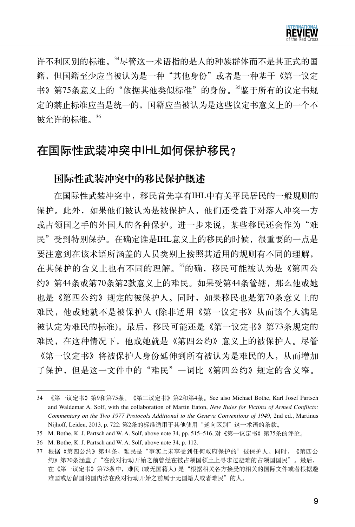

许不利区别的标准。<sup>34</sup>尽管这一术语指的是人的种族群体而不是其正式的国 籍, 但国籍至少应当被认为是一种"其他身份"或者是一种基于《第一议定 书》第75条意义上的"依据其他类似标准"的身份。35鉴于所有的议定书规 定的禁止标准应当是统一的,国籍应当被认为是这些议定书意义上的一个不 被允许的标准。<sup>36</sup>

# 在国际性武装冲突中IHL如何保护移民?

## 国际性武装冲突中的移民保护概述

在国际性武装冲突中,移民首先享有IHL中有关平民居民的一般规则的 保护。此外,如果他们被认为是被保护人,他们还受益于对落入冲突一方 或占领国之手的外国人的各种保护。进一步来说,某些移民还会作为"难 民"受到特别保护。在确定谁是IHL意义上的移民的时候,很重要的一点是 要注意到在该术语所涵盖的人员类别上按照其适用的规则有不同的理解, 在其保护的含义上也有不同的理解。<sup>37</sup>的确,移民可能被认为是《第四公 约》第44条或第70条第2款意义上的难民。如果受第44条管辖,那么他或她 也是《第四公约》规定的被保护人。同时,如果移民也是第70条意义上的 难民,他或她就不是被保护人 (除非适用《第一议定书》从而该个人满足 被认定为难民的标准)。最后,移民可能还是《第一议定书》第73条规定的 难民,在这种情况下,他或她就是《第四公约》意义上的被保护人。尽管 《第一议定书》将被保护人身份延伸到所有被认为是难民的人,从而增加 了保护,但是这一文件中的"难民"一词比《第四公约》规定的含义窄。

<sup>34</sup> 《第一议定书》第9和第75条、《第二议定书》第2和第4条。See also Michael Bothe, Karl Josef Partsch and Waldemar A. Solf, with the collaboration of Martin Eaton, *New Rules for Victims of Armed Conflicts: Commentary on the Two 1977 Protocols Additional to the Geneva Conventions of 1949,* 2nd ed., Martinus Nijhoff, Leiden, 2013, p. 722: 第2条的标准适用于其他使用"逆向区别"这一术语的条款。

<sup>35</sup> M. Bothe, K. J. Partsch and W. A. Solf, above note 34, pp. 515–516, 对《第一议定书》第75条的评论。

<sup>36</sup> M. Bothe, K. J. Partsch and W. A. Solf, above note 34, p. 112.

<sup>37</sup> 根据《第四公约》第44条,难民是"事实上未享受到任何政府保护的"被保护人。同时,《第四公 约》第70条涵盖了"在敌对行动开始之前曾经在被占领国领土上寻求过避难的占领国国民"。最后, 在《第一议定书》第73条中,难民 (或无国籍人) 是"根据相关各方接受的相关的国际文件或者根据避 难国或居留国的国内法在敌对行动开始之前属于无国籍人或者难民"的人。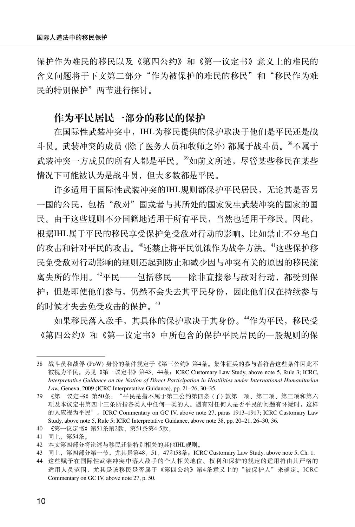保护作为难民的移民以及《第四公约》和《第一议定书》意义上的难民的 含义问题将于下文第二部分"作为被保护的难民的移民"和"移民作为难 民的特别保护"两节进行探讨。

#### 作为平民居民一部分的移民的保护

在国际性武装冲突中,IHL为移民提供的保护取决于他们是平民还是战 斗员。武装冲突的成员(除了医务人员和牧师之外)都属于战斗员。38不属于 武装冲突一方成员的所有人都是平民。39如前文所述,尽管某些移民在某些 情况下可能被认为是战斗员,但大多数都是平民。

许多适用于国际性武装冲突的IHL规则都保护平民居民,无论其是否另 一国的公民,包括"敌对"国或者与其所处的国家发生武装冲突的国家的国 民。由于这些规则不分国籍地适用于所有平民,当然也适用于移民。因此, 根据IHL属于平民的移民享受保护免受敌对行动的影响。比如禁止不分皂白 的攻击和针对平民的攻击。"还禁止将平民饥饿作为战争方法。"这些保护移 民免受敌对行动影响的规则还起到防止和减少因与冲突有关的原因的移民流 离失所的作用。<sup>42</sup>平民——包括移民——除非直接参与敌对行动,都受到保 护;但是即使他们参与,仍然不会失去其平民身份,因此他们仅在持续参与 的时候才失去免受攻击的保护。<sup>43</sup>

如果移民落入敌手,其具体的保护取决于其身份。<sup>44</sup>作为平民,移民受 《第四公约》和《第一议定书》中所包含的保护平民居民的一般规则的保

40 《第一议定书》第51条第2款、第51条第4-5款。

<sup>38</sup> 战斗员和战俘 (PoW) 身份的条件规定于《第三公约》第4条。集体征兵的参与者符合这些条件因此不 被视为平民。另见《第一议定书》第43、44条;ICRC Customary Law Study, above note 5, Rule 3; ICRC, *Interpretative Guidance on the Notion of Direct Participation in Hostilities under International Humanitarian Law,* Geneva, 2009 (ICRC Interpretative Guidance), pp. 21–26, 30–35.

<sup>39</sup> 《第一议定书》第50条:"平民是指不属于第三公约第四条 (子) 款第一项、第二项、第三项和第六 项及本议定书第四十三条所指各类人中任何一类的人。遇有对任何人是否平民的问题有怀疑时,这样 的人应视为平民"。ICRC Commentary on GC IV, above note 27, paras 1913–1917; ICRC Customary Law Study, above note 5, Rule 5; ICRC Interpretative Guidance, above note 38, pp. 20–21, 26–30, 36.

<sup>41</sup> 同上,第54条。

<sup>42</sup> 本文第四部分将论述与移民迁徙特别相关的其他IHL规则。

<sup>43</sup> 同上, 第四部分第一节, 尤其是第48、51、47和58条; ICRC Customary Law Study, above note 5, Ch. 1.

<sup>44</sup> 这些赋予在国际性武装冲突中落入敌手的个人相关地位、权利和保护的规定的适用将由其严格的 适用人员范围,尤其是该移民是否属于《第四公约》第4条意义上的"被保护人"来确定。ICRC Commentary on GC IV, above note 27, p. 50.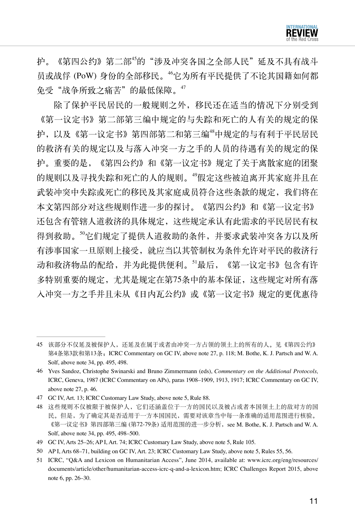

护。《第四公约》第二部"的"涉及冲突各国之全部人民"延及不具有战斗 员或战俘 (PoW) 身份的全部移民。<sup>46</sup>它为所有平民提供了不论其国籍如何都 免受"战争所致之痛苦"的最低保障。47

除了保护平民居民的一般规则之外,移民还在适当的情况下分别受到 《第一议定书》第二部第三编中规定的与失踪和死亡的人有关的规定的保 护,以及《第一议定书》第四部第二和第三编"中规定的与有利于平民居民 的救济有关的规定以及与落入冲突一方之手的人员的待遇有关的规定的保 护。重要的是,《第四公约》和《第一议定书》规定了关于离散家庭的团聚 的规则以及寻找失踪和死亡的人的规则。"假定这些被迫离开其家庭并且在 武装冲突中失踪或死亡的移民及其家庭成员符合这些条款的规定,我们将在 本文第四部分对这些规则作进一步的探讨。《第四公约》和《第一议定书》 还包含有管辖人道救济的具体规定,这些规定承认有此需求的平民居民有权 得到救助。50它们规定了提供人道救助的条件,并要求武装冲突各方以及所 有涉事国家一旦原则上接受,就应当以其管制权为条件允许对平民的救济行 动和救济物品的配给,并为此提供便利。<sup>51</sup>最后,《第一议定书》包含有许 多特别重要的规定,尤其是规定在第75条中的基本保证,这些规定对所有落 入冲突一方之手并且未从《日内瓦公约》或《第一议定书》规定的更优惠待

<sup>45</sup> 该部分不仅延及被保护人,还延及在属于或者由冲突一方占领的领土上的所有的人。见《第四公约》 第4条第3款和第13条;ICRC Commentary on GC IV, above note 27, p. 118; M. Bothe, K. J. Partsch and W. A. Solf, above note 34, pp. 495, 498.

<sup>46</sup> Yves Sandoz, Christophe Swinarski and Bruno Zimmermann (eds), *Commentary on the Additional Protocols,*  ICRC, Geneva, 1987 (ICRC Commentary on APs), paras 1908–1909, 1913, 1917; ICRC Commentary on GC IV, above note 27, p. 46.

<sup>47</sup> GC IV, Art. 13; ICRC Customary Law Study, above note 5, Rule 88.

<sup>48</sup> 这些规则不仅被限于被保护人,它们还涵盖位于一方的国民以及被占或者本国领土上的敌对方的国 民。但是,为了确定其是否适用于一方本国国民,需要对该章当中每一条准确的适用范围进行核验。 《第一议定书》第四部第三编 (第72-79条) 适用范围的进一步分析,see M. Bothe, K. J. Partsch and W. A. Solf, above note 34, pp. 495, 498–500.

<sup>49</sup> GC IV, Arts 25–26; AP I, Art. 74; ICRC Customary Law Study, above note 5, Rule 105.

<sup>50</sup> AP I, Arts 68–71, building on GC IV, Art. 23; ICRC Customary Law Study, above note 5, Rules 55, 56.

<sup>51</sup> ICRC, "Q&A and Lexicon on Humanitarian Access", June 2014, available at: www.icrc.org/eng/resources/ documents/article/other/humanitarian-access-icrc-q-and-a-lexicon.htm; ICRC Challenges Report 2015, above note 6, pp. 26–30.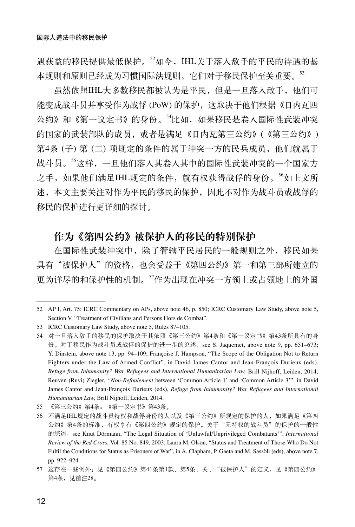遇获益的移民提供最低保护。<sup>52</sup>如今, IHL关于落入敌手的平民的待遇的基 本规则和原则已经成为习惯国际法规则, 它们对于移民保护至关重要。53

虽然依照IHL大多数移民都被认为是平民,但是一旦落入敌手,他们可 能变成战斗员并享受作为战俘 (PoW) 的保护,这取决于他们根据《日内瓦四 公约》和《第一议定书》的身份。<sup>54</sup>比如,如果移民是卷入国际性武装冲突 的国家的武装部队的成员,或者是满足《日内瓦第三公约》(《第三公约》) 第4条 (子) 第 (二) 项规定的条件的属于冲突一方的民兵成员,他们就属于 战斗员。"这样,一旦他们落入其卷入其中的国际性武装冲突的一个国家方 之手,如果他们满足IHL规定的条件,就有权获得战俘的身份。<sup>56</sup>如上文所 述,本文主要关注对作为平民的移民的保护,因此不对作为战斗员或战俘的 移民的保护进行更详细的探讨。

## 作为《第四公约》被保护人的移民的特别保护

在国际性武装冲突中,除了管辖平民居民的一般规则之外,移民如果 具有"被保护人"的资格, 也会受益于《第四公约》第一和第三部所建立的 更为详尽的和保护性的机制。<sup>57</sup>作为出现在冲突一方领土或占领地上的外国

<sup>52</sup> AP I, Art. 75; ICRC Commentary on APs, above note 46, p. 850; ICRC Customary Law Study, above note 5, Section V, "Treatment of Civilians and Persons Hors de Combat".

<sup>53</sup> ICRC Customary Law Study, above note 5, Rules 87–105.

<sup>54</sup> 对一旦落入敌手的移民的保护取决于其依照《第三公约》第4条和《第一议定书》第43条所具有的身 份。对于移民作为战斗员或战俘的保护的进一步的论述,see S. Jaquemet, above note 9, pp. 651–673; Y. Dinstein, above note 13, pp. 94–109; Françoise J. Hampson, "The Scope of the Obligation Not to Return Fighters under the Law of Armed Conflict", in David James Cantor and Jean-François Durieux (eds), *Refuge from Inhumanity? War Refugees and International Humanitarian Law,* Brill Nijhoff, Leiden, 2014; Reuven (Ruvi) Ziegler, *"Non-Refoulement* between 'Common Article 1' and 'Common Article 3'", in David James Cantor and Jean-François Durieux (eds), *Refuge from Inhumanity? War Refugees and International Humanitarian Law,* Brill Nijhoff, Leiden, 2014.

<sup>55</sup> 《第三公约》第4条;《第一议定书》第43条。

<sup>56</sup> 不满足IHL规定的战斗员特权和战俘身份的人以及《第三公约》所规定的保护的人,如果满足《第四 公约》第4条的标准,有权享有《第四公约》规定的保护。关于"无特权的战斗员"的保护的一般性 的综述, see Knut Dörmann, "The Legal Situation of 'Unlawful/Unprivileged Combatants'", *International Review of the Red Cross,* Vol. 85 No. 849, 2003; Laura M. Olson, "Status and Treatment of Those Who Do Not Fulfil the Conditions for Status as Prisoners of War", in A. Clapham, P. Gaeta and M. Sassòli (eds), above note 7, pp. 922–924.

<sup>57</sup> 这存在一些例外:见《第四公约》第41条第1款、第5条;关于"被保护人"的定义,见《第四公约》 第4条,见前注28。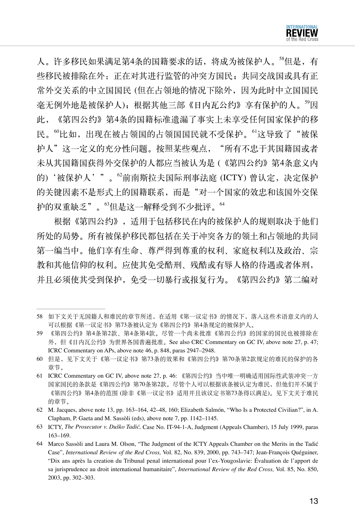人。许多移民如果满足第4条的国籍要求的话,将成为被保护人。<sup>58</sup>但是,有 些移民被排除在外:正在对其进行监管的冲突方国民;共同交战国或具有正 常外交关系的中立国国民 (但在占领地的情况下除外,因为此时中立国国民 毫无例外地是被保护人);根据其他三部《日内瓦公约》享有保护的人。<sup>59</sup>因 此,《第四公约》第4条的国籍标准遗漏了事实上未享受任何国家保护的移 民。"比如,出现在被占领国的占领国国民就不受保护。"这导致了"被保 护人"这一定义的充分性问题。按照某些观点,"所有不忠于其国籍国或者 未从其国籍国获得外交保护的人都应当被认为是 (《第四公约》第4条意义内 的)'被保护人'"。<sup>62</sup>前南斯拉夫国际刑事法庭 (ICTY) 曾认定,决定保护 的关键因素不是形式上的国籍联系,而是"对一个国家的效忠和该国外交保 护的双重缺乏"。<sup>63</sup>但是这一解释受到不少批评。<sup>64</sup>

根据《第四公约》,适用于包括移民在内的被保护人的规则取决于他们 所处的局势。所有被保护移民都包括在关于冲突各方的领土和占领地的共同 第一编当中。他们享有生命、尊严得到尊重的权利、家庭权利以及政治、宗 教和其他信仰的权利。应使其免受酷刑、残酷或有辱人格的待遇或者体刑, 并且必须使其受到保护,免受一切暴行或报复行为。《第四公约》第二编对

<sup>58</sup> 如下文关于无国籍人和难民的章节所述, 在适用《第一议定书》的情况下, 落入这些术语意义内的人 可以根据《第一议定书》第73条被认定为《第四公约》第4条规定的被保护人。

<sup>59</sup> 《第四公约》第4条第2款、第4条第4款。尽管一个尚未批准《第四公约》的国家的国民也被排除在 外,但《日内瓦公约》为世界各国普遍批准。See also CRC Commentary on GC IV, above note 27, p. 47; ICRC Commentary on APs, above note 46, p. 848, paras 2947–2948.

<sup>60</sup> 但是,见下文关于《第一议定书》第73条的效果和《第四公约》第70条第2款规定的难民的保护的各 章节。

<sup>61</sup> ICRC Commentary on GC IV, above note 27, p. 46: 《第四公约》当中唯一明确适用国际性武装冲突一方 国家国民的条款是《第四公约》第70条第2款。尽管个人可以根据该条被认定为难民,但他们并不属于 《第四公约》第4条的范围 (除非《第一议定书》适用并且该议定书第73条得以满足)。见下文关于难民 的章节。

<sup>62</sup> M. Jacques, above note 13, pp. 163–164, 42–48, 160; Elizabeth Salmón, "Who Is a Protected Civilian?", in A. Clapham, P. Gaeta and M. Sassòli (eds), above note 7, pp. 1142–1145.

<sup>63</sup> ICTY, *The Prosecutor v. Duško Tadić,* Case No. IT-94-1-A, Judgment (Appeals Chamber), 15 July 1999, paras 163–169.

<sup>64</sup> Marco Sassòli and Laura M. Olson, "The Judgment of the ICTY Appeals Chamber on the Merits in the Tadić Case", *International Review of the Red Cross,* Vol. 82, No. 839, 2000, pp. 743–747; Jean-François Quéguiner, "Dix ans après la creation du Tribunal penal international pour l'ex-Yougoslavie: Évaluation de l'apport de sa jurisprudence au droit international humanitaire", *International Review of the Red Cross,* Vol. 85, No. 850, 2003, pp. 302–303.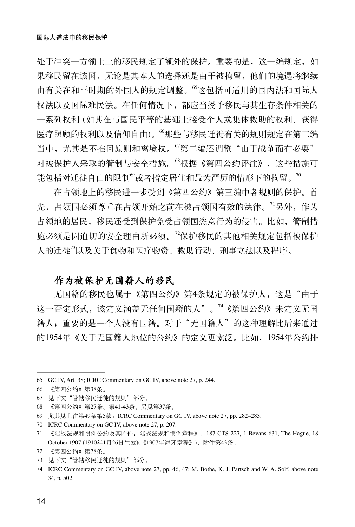处于冲突一方领土上的移民规定了额外的保护。重要的是,这一编规定,如 果移民留在该国,无论是其本人的选择还是由于被拘留,他们的境遇将继续 由有关在和平时期的外国人的规定调整。<sup>65</sup>这包括可适用的国内法和国际人 权法以及国际难民法。在任何情况下,都应当授予移民与其生存条件相关的 一系列权利 (如其在与国民平等的基础上接受个人或集体救助的权利、获得 医疗照顾的权利以及信仰自由)。<sup>66</sup>那些与移民迁徙有关的规则规定在第二编 当中,尤其是不推回原则和离境权。"第二编还调整"由于战争而有必要" 对被保护人采取的管制与安全措施。"根据《第四公约评注》,这些措施可 能包括对迁徙自由的限制 $^{\rm 00}$ 或者指定居住和最为严厉的情形下的拘留。 $^{\rm 00}$ 

在占领地上的移民进一步受到《第四公约》第三编中各规则的保护。首 先,占领国必须尊重在占领开始之前在被占领国有效的法律。<sup>71</sup>另外,作为 占领地的居民,移民还受到保护免受占领国恣意行为的侵害。比如,管制措 施必须是因迫切的安全理由所必须。<sup>72</sup>保护移民的其他相关规定包括被保护 人的迁徙<sup>73</sup>以及关于食物和医疗物资、救助行动、刑事立法以及程序。

#### 作为被保护无国籍人的移民

无国籍的移民也属于《第四公约》第4条规定的被保护人,这是"由于 这一否定形式,该定义涵盖无任何国籍的人"。<sup>74</sup>《第四公约》未定义无国 籍人;重要的是一个人没有国籍。对于"无国籍人"的这种理解比后来通过 的1954年《关于无国籍人地位的公约》的定义更宽泛。比如,1954年公约排

70 ICRC Commentary on GC IV, above note 27, p. 207.

<sup>65</sup> GC IV, Art. 38; ICRC Commentary on GC IV, above note 27, p. 244.

<sup>66</sup> 《第四公约》第38条。

<sup>67</sup> 见下文"管辖移民迁徙的规则"部分。

<sup>68</sup> 《第四公约》第27条、第41-43条。另见第37条。

<sup>69</sup> 尤其见上注第49条第5款;ICRC Commentary on GC IV, above note 27, pp. 282–283.

<sup>71</sup> 《陆战法规和惯例公约及其附件:陆战法规和惯例章程》,187 CTS 227, 1 Bevans 631, The Hague, 18 October 1907 (1910年1月26日生效)(《1907年海牙章程》),附件第43条。

<sup>72</sup> 《第四公约》第78条。

<sup>73</sup> 见下文"管辖移民迁徙的规则"部分。

<sup>74</sup> ICRC Commentary on GC IV, above note 27, pp. 46, 47; M. Bothe, K. J. Partsch and W. A. Solf, above note 34, p. 502.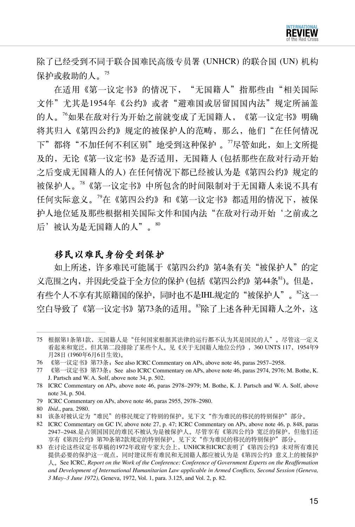

除了已经受到不同于联合国难民高级专员署 (UNHCR) 的联合国 (UN) 机构 保护或救助的人。<sup>75</sup>

在适用《第一议定书》的情况下, "无国籍人"指那些由"相关国际 文件"尤其是1954年《公约》或者"避难国或居留国国内法"规定所涵盖 的人。<sup>76</sup>如果在敌对行为开始之前就变成了无国籍人,《第一议定书》明确 将其归入《第四公约》规定的被保护人的范畴, 那么, 他们"在任何情况 下"都将"不加任何不利区别"地受到这种保护 。"尽管如此,如上文所提 及的,无论《第一议定书》是否适用,无国籍人 (包括那些在敌对行动开始 之后变成无国籍人的人) 在任何情况下都已经被认为是《第四公约》规定的 被保护人。<sup>78</sup>《第一议定书》中所包含的时间限制对于无国籍人来说不具有 任何实际意义。<sup>79</sup>在《第四公约》和《第一议定书》都适用的情况下,被保 护人地位延及那些根据相关国际文件和国内法"在敌对行动开始'之前或之 后'被认为是无国籍人的人"。80

#### 移民以难民身份受到保护

如上所述,许多难民可能属于《第四公约》第4条有关"被保护人"的定 义范围之内,并因此受益于全方位的保护 (包括《第四公约》第44条<sup>81</sup>)。但是, 有些个人不享有其原籍国的保护,同时也不是IHL规定的"被保护人"。<sup>82</sup>这一 空白导致了《第一议定书》第73条的适用。<sup>83</sup>除了上述各种无国籍人之外,这

<sup>75</sup> 根据第1条第1款,无国籍人是"任何国家根据其法律的运行都不认为其是国民的人"。尽管这一定义 看起来和宽泛,但其第二段排除了某些个人。见《关于无国籍人地位公约》,360 UNTS 117,1954年9 月28日 (1960年6月6日生效)。

<sup>76</sup> 《第一议定书》第73条;See also ICRC Commentary on APs, above note 46, paras 2957–2958.

<sup>77 《</sup>第一议定书》第73条; See also ICRC Commentary on APs, above note 46, paras 2974, 2976; M. Bothe, K. J. Partsch and W. A. Solf, above note 34, p. 502.

<sup>78</sup> ICRC Commentary on APs, above note 46, paras 2978–2979; M. Bothe, K. J. Partsch and W. A. Solf, above note 34, p. 504.

<sup>79</sup> ICRC Commentary on APs, above note 46, paras 2955, 2978–2980.

<sup>80</sup> *Ibid.*, para. 2980.

<sup>81</sup> 该条对被认定为"难民"的移民规定了特别的保护。见下文"作为难民的移民的特别保护"部分。

<sup>82</sup> ICRC Commentary on GC IV, above note 27, p. 47; ICRC Commentary on APs, above note 46, p. 848, paras 2947–2948.是占领国国民的难民不被认为是被保护人。尽管享有《第四公约》宽泛的保护,但他们还 享有《第四公约》第70条第2款规定的特别保护。见下文"作为难民的移民的特别保护"部分。

<sup>83</sup> 在讨论这些议定书草稿的1972年政府专家大会上,UNHCR和ICRC表明了《第四公约》未对所有难民 提供必要的保护这一观点,同时建议所有难民和无国籍人都应被认为是《第四公约》意义上的被保护 人。See ICRC, *Report on the Work of the Conference: Conference of Government Experts on the Reaffirmation and Development of International Humanitarian Law applicable in Armed Conflicts, Second Session (Geneva, 3 May–3 June 1972),* Geneva, 1972, Vol. 1, para. 3.125, and Vol. 2, p. 82.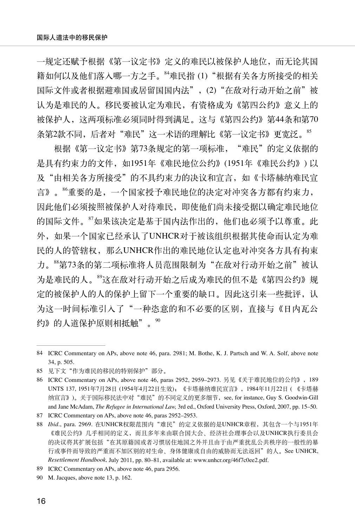一规定还赋予根据《第一议定书》定义的难民以被保护人地位,而无论其国 籍如何以及他们落入哪一方之手。<sup>84</sup>难民指 (1)"根据有关各方所接受的相关 国际文件或者根据避难国或居留国国内法",(2) "在敌对行动开始之前"被 认为是难民的人。移民要被认定为难民,有资格成为《第四公约》意义上的 被保护人,这两项标准必须同时得到满足。这与《第四公约》第44条和第70 条第2款不同,后者对"难民"这一术语的理解比《第一议定书》更宽泛。<sup>85</sup>

根据《第一议定书》第73条规定的第一项标准, "难民"的定义依据的 是具有约束力的文件,如1951年《难民地位公约》(1951年《难民公约》) 以 及"由相关各方所接受"的不具约束力的决议和宣言,如《卡塔赫纳难民宣 言》。"重要的是,一个国家授予难民地位的决定对冲突各方都有约束力, 因此他们必须按照被保护人对待难民,即使他们尚未接受据以确定难民地位 的国际文件。<sup>87</sup>如果该决定是基于国内法作出的,他们也必须予以尊重。此 外,如果一个国家已经承认了UNHCR对于被该组织根据其使命而认定为难 民的人的管辖权,那么UNHCR作出的难民地位认定也对冲突各方具有拘束 力。88第73条的第二项标准将人员范围限制为"在敌对行动开始之前"被认 为是难民的人。<sup>89</sup>这在敌对行动开始之后成为难民的但不是《第四公约》规 定的被保护人的人的保护上留下一个重要的缺口。因此这引来一些批评,认 为这一时间标准引入了"一种恣意的和不必要的区别,直接与《日内瓦公 约》的人道保护原则相抵触"。<sup>90</sup>

<sup>84</sup> ICRC Commentary on APs, above note 46, para. 2981; M. Bothe, K. J. Partsch and W. A. Solf, above note 34, p. 505.

<sup>85</sup> 见下文"作为难民的移民的特别保护"部分。

<sup>86</sup> ICRC Commentary on APs, above note 46, paras 2952, 2959–2973. 另见《关于难民地位的公约》,189 UNTS 137, 1951年7月28日 (1954年4月22日生效);《卡塔赫纳难民宣言》,1984年11月22日 ( 《卡塔赫 纳宣言》)。关于国际移民法中对"难民"的不同定义的更多细节,see, for instance, Guy S. Goodwin-Gill and Jane McAdam, *The Refugee in International Law,* 3rd ed., Oxford University Press, Oxford, 2007, pp. 15–50.

<sup>87</sup> ICRC Commentary on APs, above note 46, paras 2952–2953.

<sup>88</sup> *Ibid.*, para. 2969. 在UNHCR权限范围内"难民"的定义依据的是UNHCR章程,其包含一个与1951年 《难民公约》几乎相同的定义,而且多年来由联合国大会、经济社会理事会以及UNHCR执行委员会 的决议将其扩展包括"在其原籍国或者习惯居住地国之外并且由于由严重扰乱公共秩序的一般性的暴 行或事件而导致的严重而不加区别的对生命、身体健康或自由的威胁而无法返回"的人。See UNHCR, *Resettlement Handbook,* July 2011, pp. 80–81, available at: www.unhcr.org/46f7c0ee2.pdf.

<sup>89</sup> ICRC Commentary on APs, above note 46, para 2956.

<sup>90</sup> M. Jacques, above note 13, p. 162.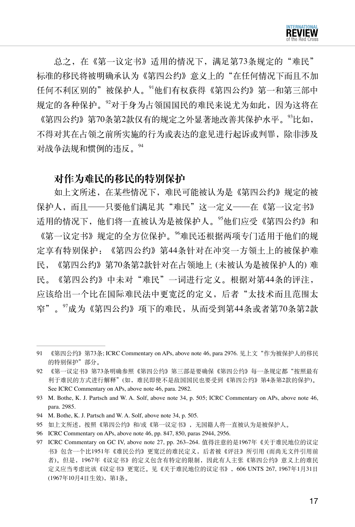

总之,在《第一议定书》适用的情况下,满足第73条规定的"难民" 标准的移民将被明确承认为《第四公约》意义上的"在任何情况下而且不加 任何不利区别的"被保护人。<sup>91</sup>他们有权获得《第四公约》第一和第三部中 规定的各种保护。<sup>92</sup>对于身为占领国国民的难民来说尤为如此,因为这将在 《第四公约》第70条第2款仅有的规定之外显著地改善其保护水平。<sup>93</sup>比如, 不得对其在占领之前所实施的行为或表达的意见进行起诉或判罪,除非涉及 对战争法规和惯例的违反。<sup>94</sup>

#### 对作为难民的移民的特别保护

如上文所述,在某些情况下,难民可能被认为是《第四公约》规定的被 保护人,而且——只要他们满足其"难民"这一定义——在《第一议定书》 适用的情况下,他们将一直被认为是被保护人。<sup>95</sup>他们应受《第四公约》和 《第一议定书》规定的全方位保护。<sup>96</sup>难民还根据两项专门适用于他们的规 定享有特别保护:《第四公约》第44条针对在冲突一方领土上的被保护难 民,《第四公约》第70条第2款针对在占领地上 (未被认为是被保护人的) 难 民。《第四公约》中未对"难民"一词进行定义。根据对第44条的评注, 应该给出一个比在国际难民法中更宽泛的定义,后者"太技术而且范围太 窄"。<sup>97</sup>成为《第四公约》项下的难民,从而受到第44条或者第70条第2款

- 95 如上文所述,按照《第四公约》和/或《第一议定书》,无国籍人将一直被认为是被保护人。
- 96 ICRC Commentary on APs, above note 46, pp. 847, 850, paras 2944, 2956.

<sup>91</sup> 《第四公约》第73条; ICRC Commentary on APs, above note 46, para 2976. 见上文"作为被保护人的移民 的特别保护"部分。

<sup>92 《</sup>第一议定书》第73条明确参照《第四公约》第三部是要确保《第四公约》每一条规定都"按照最有 利于难民的方式进行解释"(如,难民即使不是敌国国民也要受到《第四公约》第4条第2款的保护)。 See ICRC Commentary on APs, above note 46, para. 2982.

<sup>93</sup> M. Bothe, K. J. Partsch and W. A. Solf, above note 34, p. 505; ICRC Commentary on APs, above note 46, para. 2985.

<sup>94</sup> M. Bothe, K. J. Partsch and W. A. Solf, above note 34, p. 505.

<sup>97</sup> ICRC Commentary on GC IV, above note 27, pp. 263–264. 值得注意的是1967年《关于难民地位的议定 书》包含一个比1951年《难民公约》更宽泛的难民定义,后者被《评注》所引用 (而尚无文件引用前 者)。但是,1967年《议定书》的定义包含有特定的限制,因此有人主张《第四公约》意义上的难民 定义应当考虑比该《议定书》更宽泛。见《关于难民地位的议定书》,606 UNTS 267, 1967年1月31日 (1967年10月4日生效),第1条。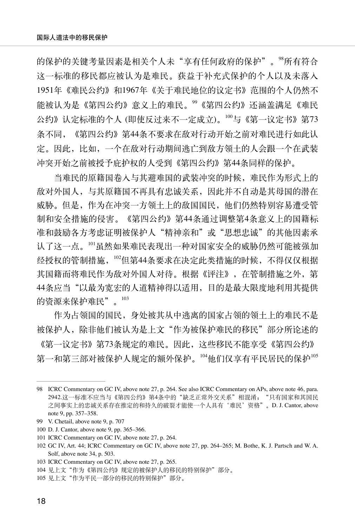的保护的关键考量因素是相关个人未"享有任何政府的保护"。"所有符合 这一标准的移民都应被认为是难民。获益于补充式保护的个人以及未落入 1951年《难民公约》和1967年《关于难民地位的议定书》范围的个人仍然不 能被认为是《第四公约》意义上的难民。<sup>99</sup>《第四公约》还涵盖满足《难民 公约》认定标准的个人 (即使反过来不一定成立)。<sup>100</sup>与《第一议定书》第73 条不同,《第四公约》第44条不要求在敌对行动开始之前对难民进行如此认 定。因此,比如,一个在敌对行动期间逃亡到敌方领土的人会跟一个在武装 冲突开始之前被授予庇护权的人受到《第四公约》第44条同样的保护。

当难民的原籍国卷入与其避难国的武装冲突的时候,难民作为形式上的 敌对外国人,与其原籍国不再具有忠诚关系,因此并不自动是其母国的潜在 威胁。但是,作为在冲突一方领土上的敌国国民,他们仍然特别容易遭受管 制和安全措施的侵害。《第四公约》第44条通过调整第4条意义上的国籍标 准和鼓励各方考虑证明被保护人"精神亲和"或"思想忠诚"的其他因素承 认了这一点。<sup>101</sup>虽然如果难民表现出一种对国家安全的威胁仍然可能被强加 经授权的管制措施, 102但第44条要求在决定此类措施的时候, 不得仅仅根据 其国籍而将难民作为敌对外国人对待。根据《评注》,在管制措施之外, 第 44条应当"以最为宽宏的人道精神得以适用,目的是最大限度地利用其提供 的资源来保护难民"。<sup>103</sup>

作为占领国的国民,身处被其从中逃离的国家占领的领土上的难民不是 被保护人,除非他们被认为是上文"作为被保护难民的移民"部分所论述的 《第一议定书》第73条规定的难民。因此,这些移民不能享受《第四公约》 第一和第三部对被保护人规定的额外保护。104他们仅享有平民居民的保护105

<sup>98</sup> ICRC Commentary on GC IV, above note 27, p. 264. See also ICRC Commentary on APs, above note 46, para. 2942.这一标准不应当与《第四公约》第4条中的"缺乏正常外交关系"相混淆; "只有国家和其国民 之间事实上的忠诚关系存在推定的和持久的破裂才能使一个人具有'难民'资格"。D. J. Cantor, above note 9, pp. 357–358.

<sup>99</sup> V. Chetail, above note 9, p. 707

<sup>100</sup> D. J. Cantor, above note 9, pp. 365–366.

<sup>101</sup> ICRC Commentary on GC IV, above note 27, p. 264.

<sup>102</sup> GC IV, Art. 44; ICRC Commentary on GC IV, above note 27, pp. 264–265; M. Bothe, K. J. Partsch and W. A. Solf, above note 34, p. 503.

<sup>103</sup> ICRC Commentary on GC IV, above note 27, p. 265.

<sup>104</sup> 见上文"作为《第四公约》规定的被保护人的移民的特别保护"部分。

<sup>105</sup> 见上文"作为平民一部分的移民的特别保护"部分。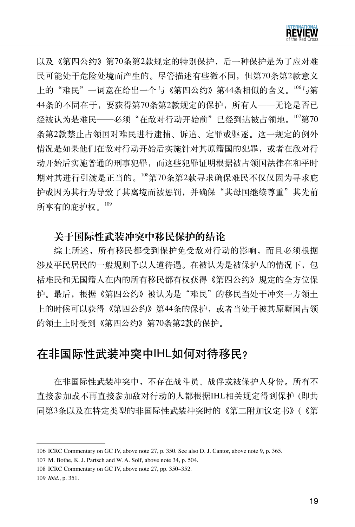

以及《第四公约》第70条第2款规定的特别保护,后一种保护是为了应对难 民可能处于危险处境而产生的。尽管描述有些微不同,但第70条第2款意义 上的"难民"一词意在给出一个与《第四公约》第44条相似的含义。""与第 44条的不同在于,要获得第70条第2款规定的保护,所有人——无论是否已 经被认为是难民——必须"在敌对行动开始前"已经到达被占领地。<sup>107</sup>第70 条第2款禁止占领国对难民进行逮捕、诉追、定罪或驱逐。这一规定的例外 情况是如果他们在敌对行动开始后实施针对其原籍国的犯罪,或者在敌对行 动开始后实施普通的刑事犯罪,而这些犯罪证明根据被占领国法律在和平时 期对其进行引渡是正当的。<sup>108</sup>第70条第2款寻求确保难民不仅仅因为寻求庇 护或因为其行为导致了其离境而被惩罚,并确保"其母国继续尊重"其先前 所享有的庇护权。<sup>109</sup>

## 关于国际性武装冲突中移民保护的结论

综上所述,所有移民都受到保护免受敌对行动的影响,而且必须根据 涉及平民居民的一般规则予以人道待遇。在被认为是被保护人的情况下,包 括难民和无国籍人在内的所有移民都有权获得《第四公约》规定的全方位保 护。最后,根据《第四公约》被认为是"难民"的移民当处于冲突一方领土 上的时候可以获得《第四公约》第44条的保护,或者当处于被其原籍国占领 的领土上时受到《第四公约》第70条第2款的保护。

# 在非国际性武装冲突中IHL如何对待移民?

在非国际性武装冲突中,不存在战斗员、战俘或被保护人身份。所有不 直接参加或不再直接参加敌对行动的人都根据IHL相关规定得到保护 (即共 同第3条以及在特定类型的非国际性武装冲突时的《第二附加议定书》(《第

<sup>106</sup> ICRC Commentary on GC IV, above note 27, p. 350. See also D. J. Cantor, above note 9, p. 365.

<sup>107</sup> M. Bothe, K. J. Partsch and W. A. Solf, above note 34, p. 504.

<sup>108</sup> ICRC Commentary on GC IV, above note 27, pp. 350–352.

<sup>109</sup> *Ibid*., p. 351.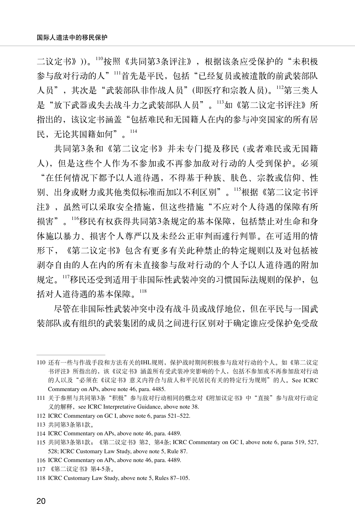二议定书》))。110按照《共同第3条评注》,根据该条应受保护的"未积极 参与敌对行动的人"<sup>111</sup>首先是平民, 包括"已经复员或被遣散的前武装部队 人员",其次是"武装部队非作战人员"(即医疗和宗教人员)。<sup>112</sup>第三类人 是"放下武器或失去战斗力之武装部队人员"。<sup>113</sup>如《第二议定书评注》所 指出的,该议定书涵盖"包括难民和无国籍人在内的参与冲突国家的所有居 民,无论其国籍如何"。<sup>114</sup>

共同第3条和《第二议定书》并未专门提及移民 (或者难民或无国籍 人),但是这些个人作为不参加或不再参加敌对行动的人受到保护。必须 "在任何情况下都予以人道待遇,不得基于种族、肤色、宗教或信仰、性 别、出身或财力或其他类似标准而加以不利区别"。<sup>115</sup>根据《第二议定书评 注》,虽然可以采取安全措施,但这些措施"不应对个人待遇的保障有所 损害"。<sup>116</sup>移民有权获得共同第3条规定的基本保障,包括禁止对生命和身 体施以暴力、损害个人尊严以及未经公正审判而遽行判罪。在可适用的情 形下,《第二议定书》包含有更多有关此种禁止的特定规则以及对包括被 剥夺自由的人在内的所有未直接参与敌对行动的个人予以人道待遇的附加 规定。117移民还受到适用于非国际性武装冲突的习惯国际法规则的保护,包 括对人道待遇的基本保障。<sup>118</sup>

尽管在非国际性武装冲突中没有战斗员或战俘地位,但在平民与一国武 装部队或有组织的武装集团的成员之间进行区别对于确定谁应受保护免受敌

<sup>110</sup> 还有一些与作战手段和方法有关的IHL规则,保护战时期间积极参与敌对行动的个人。如《第二议定 书评注》所指出的,该《议定书》涵盖所有受武装冲突影响的个人,包括不参加或不再参加敌对行动 的人以及"必须在《议定书》意义内符合与敌人和平民居民有关的特定行为规则"的人。See ICRC Commentary on APs, above note 46, para. 4485.

<sup>111</sup> 关于参照与共同第3条"积极"参与敌对行动相同的概念对《附加议定书》中"直接"参与敌对行动定 义的解释, see ICRC Interpretative Guidance, above note 38.

<sup>112</sup> ICRC Commentary on GC I, above note 6, paras 521–522.

<sup>113</sup> 共同第3条第1款。

<sup>114</sup> ICRC Commentary on APs, above note 46, para. 4489.

<sup>115</sup> 共同第3条第1款;《第二议定书》第2、第4条; ICRC Commentary on GC I, above note 6, paras 519, 527, 528; ICRC Customary Law Study, above note 5, Rule 87.

<sup>116</sup> ICRC Commentary on APs, above note 46, para. 4489.

<sup>117</sup> 《第二议定书》第4-5条。

<sup>118</sup> ICRC Customary Law Study, above note 5, Rules 87–105.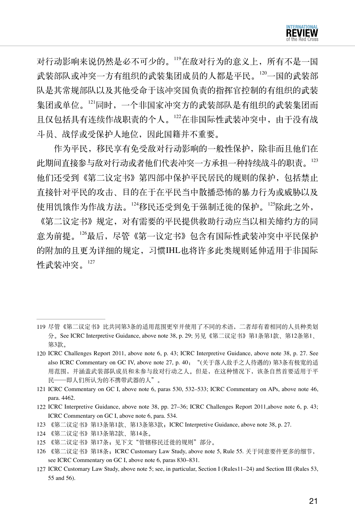

对行动影响来说仍然是必不可少的。<sup>119</sup>在敌对行为的意义上,所有不是一国 武装部队或冲突一方有组织的武装集团成员的人都是平民。120一国的武装部 队是其常规部队以及其他受命于该冲突国负责的指挥官控制的有组织的武装 集团或单位。<sup>121</sup>同时,一个非国家冲突方的武装部队是有组织的武装集团而 且仅包括具有连续作战职责的个人。<sup>122</sup>在非国际性武装冲突中,由于没有战 斗员、战俘或受保护人地位,因此国籍并不重要。

作为平民,移民享有免受敌对行动影响的一般性保护,除非而且他们在 此期间直接参与敌对行动或者他们代表冲突一方承担一种持续战斗的职责。<sup>123</sup> 他们还受到《第二议定书》第四部中保护平民居民的规则的保护,包括禁止 直接针对平民的攻击、目的在于在平民当中散播恐怖的暴力行为或威胁以及 使用饥饿作为作战方法。124移民还受到免于强制迁徙的保护。125除此之外,

《第二议定书》规定,对有需要的平民提供救助行动应当以相关缔约方的同 意为前提。<sup>126</sup>最后,尽管《第一议定书》包含有国际性武装冲突中平民保护 的附加的且更为详细的规定,习惯IHL也将许多此类规则延伸适用于非国际 性武装冲突。<sup>127</sup>

- 124 《第二议定书》第13条第2款、第14条。
- 125 《第二议定书》第17条;见下文"管辖移民迁徙的规则"部分。

<sup>119</sup> 尽管《第二议定书》比共同第3条的适用范围更窄并使用了不同的术语,二者却有着相同的人员种类划 分。See ICRC Interpretive Guidance, above note 38, p. 29; 另见《第二议定书》第1条第1款、第12条第1、 第3款。

<sup>120</sup> ICRC Challenges Report 2011, above note 6, p. 43; ICRC Interpretive Guidance, above note 38, p. 27. See also ICRC Commentary on GC IV, above note 27, p. 40:"(关于落入敌手之人待遇的) 第3条有极宽的适 用范围,并涵盖武装部队成员和未参与敌对行动之人。但是,在这种情况下,该条自然首要适用于平 民——即人们所认为的不携带武器的人"。

<sup>121</sup> ICRC Commentary on GC I, above note 6, paras 530, 532–533; ICRC Commentary on APs, above note 46, para. 4462.

<sup>122</sup> ICRC Interpretive Guidance, above note 38, pp. 27–36; ICRC Challenges Report 2011,above note 6, p. 43; ICRC Commentary on GC I, above note 6, para. 534.

<sup>123</sup> 《第二议定书》第13条第1款、第13条第3款;ICRC Interpretive Guidance, above note 38, p. 27.

<sup>126</sup> 《第二议定书》第18条;ICRC Customary Law Study, above note 5, Rule 55. 关于同意要件更多的细节, see ICRC Commentary on GC I, above note 6, paras 830–831.

<sup>127</sup> ICRC Customary Law Study, above note 5; see, in particular, Section I (Rules11–24) and Section III (Rules 53, 55 and 56).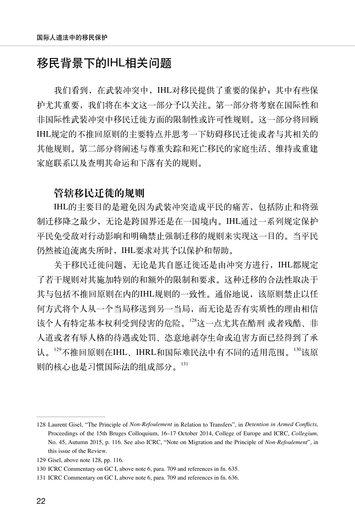# 移民背景下的IHL相关问题

我们看到, 在武装冲突中, IHL对移民提供了重要的保护; 其中有些保 护尤其重要,我们将在本文这一部分予以关注。第一部分将考察在国际性和 非国际性武装冲突中移民迁徙方面的限制性或许可性规则。这一部分将回顾 IHL规定的不推回原则的主要特点并思考一下妨碍移民迁徙或者与其相关的 其他规则。第二部分将阐述与尊重失踪和死亡移民的家庭生活、维持或重建 家庭联系以及查明其命运和下落有关的规则。

#### 管辖移民迁徙的规则

IHL的主要目的是避免因为武装冲突造成平民的痛苦,包括防止和将强 制迁移降之最少,无论是跨国界还是在一国境内。IHL通过一系列规定保护 平民免受敌对行动影响和明确禁止强制迁移的规则来实现这一目的。当平民 仍然被迫流离失所时,IHL要求对其予以保护和帮助。

关于移民迁徙问题,无论是其自愿迁徙还是由冲突方进行,IHL都规定 了若干规则对其施加特别的和额外的限制和要求。这种迁移的合法性取决于 其与包括不推回原则在内的IHL规则的一致性。通俗地说,该原则禁止以任 何方式将个人从一个当局移送到另一当局,而无论是否有实质性的理由相信 该个人有特定基本权利受到侵害的危险。<sup>128</sup>这一点尤其在酷刑 或者残酷、非 人道或者有辱人格的待遇或处罚、恣意地剥夺生命或迫害方面已经得到了承 认。129不推回原则在IHL、IHRL和国际难民法中有不同的适用范围。130该原 则的核心也是习惯国际法的组成部分。<sup>131</sup>

<sup>128</sup> Laurent Gisel, "The Principle of *Non-Refoulement* in Relation to Transfers", in *Detention in Armed Conflicts,*  Proceedings of the 15th Bruges Colloquium, 16–17 October 2014, College of Europe and ICRC, *Collegium,* No. 45, Autumn 2015, p. 116. See also ICRC, "Note on Migration and the Principle of *Non-Refoulement*", in this issue of the Review.

<sup>129</sup> Gisel, above note 128, pp. 116.

<sup>130</sup> ICRC Commentary on GC I, above note 6, para. 709 and references in fn. 635.

<sup>131</sup> ICRC Commentary on GC I, above note 6, para. 709 and references in fn. 636.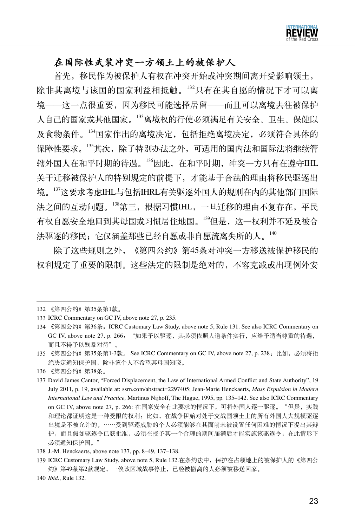## 在国际性武装冲突一方领土上的被保护人

首先,移民作为被保护人有权在冲突开始或冲突期间离开受影响领土, 除非其离境与该国的国家利益相抵触。<sup>132</sup>只有在其自愿的情况下才可以离 境——这一点很重要,因为移民可能选择居留——而且可以离境去往被保护 人自己的国家或其他国家。<sup>133</sup>离境权的行使必须满足有关安全、卫生、保健以 及食物条件。<sup>134</sup>国家作出的离境决定,包括拒绝离境决定,必须符合具体的 保障性要求。<sup>135</sup>其次,除了特别办法之外,可适用的国内法和国际法将继续管 辖外国人在和平时期的待遇。<sup>136</sup>因此,在和平时期,冲突一方只有在遵守IHL 关于迁移被保护人的特别规定的前提下,才能基于合法的理由将移民驱逐出 境。<sup>137</sup>这要求考虑IHL与包括IHRL有关驱逐外国人的规则在内的其他部门国际 法之间的互动问题。138第三,根据习惯IHL, 一旦迁移的理由不复存在, 平民 有权自愿安全地回到其母国或习惯居住地国。<sup>139</sup>但是,这一权利并不延及被合 法驱逐的移民;它仅涵盖那些已经自愿或非自愿流离失所的人。140

除了这些规则之外,《第四公约》第45条对冲突一方移送被保护移民的 权利规定了重要的限制。这些法定的限制是绝对的,不容克减或出现例外安

<sup>132</sup> 《第四公约》第35条第1款。

<sup>133</sup> ICRC Commentary on GC IV, above note 27, p. 235.

<sup>134</sup> 《第四公约》第36条;ICRC Customary Law Study, above note 5, Rule 131. See also ICRC Commentary on GC IV, above note 27, p. 266: "如果予以驱逐, 其必须依照人道条件实行, 应给予适当尊重的待遇, 而且不得予以残暴对待"。

<sup>135</sup> 《第四公约》第35条第1-3款。 See ICRC Commentary on GC IV, above note 27, p. 238:比如,必须将拒 绝决定通知保护国,除非该个人不希望其母国知晓。

<sup>136</sup> 《第四公约》第38条。

<sup>137</sup> David James Cantor, "Forced Displacement, the Law of International Armed Conflict and State Authority", 19 July 2011, p. 19, available at: ssrn.com/abstract=2297405; Jean-Marie Henckaerts, *Mass Expulsion in Modern International Law and Practice,* Martinus Nijhoff, The Hague, 1995, pp. 135–142. See also ICRC Commentary on GC IV, above note 27, p. 266: 在国家安全有此要求的情况下,可将外国人逐一驱逐。"但是,实践 和理论都证明这是一种受限的权利:比如,在战争伊始对处于交战国领土上的所有外国人大规模驱逐 出境是不被允许的。……受到驱逐威胁的个人必须能够在其面前未被设置任何困难的情况下提出其辩 护,而且假如驱逐令已获批准,必须在授予其一个合理的期间届满后才能实施该驱逐令;在此情形下 必须通知保护国。"

<sup>138</sup> J.-M. Henckaerts, above note 137, pp. 8–49, 137–138.

<sup>139</sup> ICRC Customary Law Study, above note 5, Rule 132.在条约法中,保护在占领地上的被保护人的《第四公 约》第49条第2款规定,一俟该区域战事停止,已经被撤离的人必须被移送回家。

<sup>140</sup> *Ibid.*, Rule 132.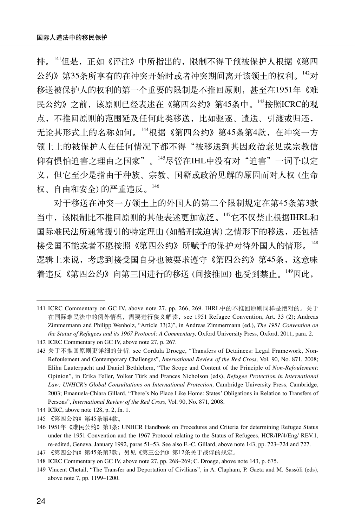排。141但是,正如《评注》中所指出的,限制不得干预被保护人根据《第四 公约》第35条所享有的在冲突开始时或者冲突期间离开该领土的权利。<sup>142</sup>对 移送被保护人的权利的第一个重要的限制是不推回原则,甚至在1951年《难 民公约》之前,该原则已经表述在《第四公约》第45条中。<sup>143</sup>按照ICRC的观 点,不推回原则的范围延及任何此类移送,比如驱逐、遣送、引渡或归还, 无论其形式上的名称如何。<sup>144</sup>根据《第四公约》第45条第4款,在冲突一方 领土上的被保护人在任何情况下都不得"被移送到其因政治意见或宗教信 仰有惧怕迫害之理由之国家"。<sup>145</sup>尽管在IHL中没有对"迫害"一词予以定 义,但它至少是指由于种族、宗教、国籍或政治见解的原因而对人权 (生命 权、自由和安全) 的严重违反。<sup>146</sup>

对于移送在冲突一方领土上的外国人的第二个限制规定在第45条第3款 当中,该限制比不推回原则的其他表述更加宽泛。<sup>147</sup>它不仅禁止根据IHRL和 国际难民法所通常援引的特定理由 (如酷刑或迫害) 之情形下的移送, 还包括 接受国不能或者不愿按照《第四公约》所赋予的保护对待外国人的情形。<sup>148</sup> 逻辑上来说,考虑到接受国自身也被要求遵守《第四公约》第45条,这意味 着违反《第四公约》向第三国进行的移送 (间接推回) 也受到禁止。<sup>149</sup>因此,

<sup>141</sup> ICRC Commentary on GC IV, above note 27, pp. 266, 269. IHRL中的不推回原则同样是绝对的。关于 在国际难民法中的例外情况,需要进行狭义解读,see 1951 Refugee Convention, Art. 33 (2); Andreas Zimmermann and Philipp Wenholz, "Article 33(2)", in Andreas Zimmermann (ed.), *The 1951 Convention on the Status of Refugees and its 1967 Protocol: A Commentary,* Oxford University Press, Oxford, 2011, para. 2.

<sup>142</sup> ICRC Commentary on GC IV, above note 27, p. 267.

<sup>143</sup> 关于不推回原则更详细的分析, see Cordula Droege, "Transfers of Detainees: Legal Framework, Non-Refoulement and Contemporary Challenges", *International Review of the Red Cross,* Vol. 90, No. 871, 2008; Elihu Lauterpacht and Daniel Bethlehem, "The Scope and Content of the Principle of *Non-Refoulement*: Opinion", in Erika Feller, Volker Türk and Frances Nicholson (eds), *Refugee Protection in International Law: UNHCR's Global Consultations on International Protection,* Cambridge University Press, Cambridge, 2003; Emanuela-Chiara Gillard, "There's No Place Like Home: States' Obligations in Relation to Transfers of Persons", *International Review of the Red Cross,* Vol. 90, No. 871, 2008.

<sup>144</sup> ICRC, above note 128, p. 2, fn. 1.

<sup>145</sup> 《第四公约》第45条第4款。

<sup>146</sup> 1951年《难民公约》第1条; UNHCR Handbook on Procedures and Criteria for determining Refugee Status under the 1951 Convention and the 1967 Protocol relating to the Status of Refugees, HCR/IP/4/Eng/ REV.1, re-edited, Geneva, January 1992, paras 51–53. See also E.-C. Gillard, above note 143, pp. 723–724 and 727.

<sup>147</sup> 《第四公约》第45条第3款;另见《第三公约》第12条关于战俘的规定。

<sup>148</sup> ICRC Commentary on GC IV, above note 27, pp. 268–269; C. Droege, above note 143, p. 675.

<sup>149</sup> Vincent Chetail, "The Transfer and Deportation of Civilians", in A. Clapham, P. Gaeta and M. Sassòli (eds), above note 7, pp. 1199–1200.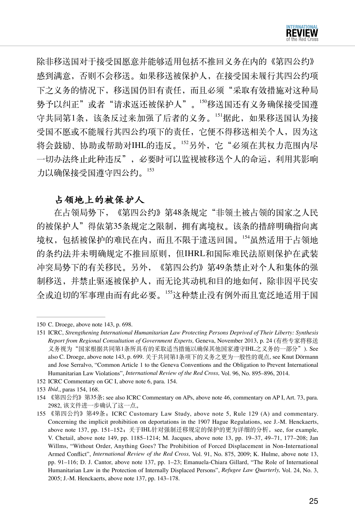除非移送国对于接受国愿意并能够适用包括不推回义务在内的《第四公约》 感到满意,否则不会移送。如果移送被保护人,在接受国未履行其四公约项 下之义务的情况下,移送国仍旧有责任,而且必须"采取有效措施对这种局 势予以纠正"或者"请求返还被保护人"。<sup>150</sup>移送国还有义务确保接受国遵 守共同第1条,该条反过来加强了后者的义务。<sup>151</sup>据此,如果移送国认为接 受国不愿或不能履行其四公约项下的责任,它便不得移送相关个人,因为这 将会鼓励、协助或帮助对IHL的违反。<sup>152</sup>另外,它"必须在其权力范围内尽 一切办法终止此种违反",必要时可以监视被移送个人的命运,利用其影响 力以确保接受国遵守四公约。

#### 占领地上的被保护人

在占领局势下,《第四公约》第48条规定"非领土被占领的国家之人民 的被保护人"得依第35条规定之限制,拥有离境权。该条的措辞明确指向离 境权,包括被保护的难民在内,而且不限于遣送回国。<sup>154</sup>虽然适用于占领地 的条约法并未明确规定不推回原则,但IHRL和国际难民法原则保护在武装 冲突局势下的有关移民。另外,《第四公约》第49条禁止对个人和集体的强 制移送,并禁止驱逐被保护人,而无论其动机和目的地如何,除非因平民安 全或迫切的军事理由而有此必要。<sup>155</sup>这种禁止没有例外而且宽泛地适用于国

- 152 ICRC Commentary on GC I, above note 6, para. 154.
- 153 *Ibid*., paras 154, 168.

<sup>150</sup> C. Droege, above note 143, p. 698.

<sup>151</sup> ICRC, *Strengthening International Humanitarian Law Protecting Persons Deprived of Their Liberty: Synthesis Report from Regional Consultation of Government Experts,* Geneva, November 2013, p. 24 (有些专家将移送 义务视为"国家根据共同第1条所具有的采取适当措施以确保其他国家遵守IHL之义务的一部分"). See also C. Droege, above note 143, p. 699. 关于共同第1条项下的义务之更为一般性的观点, see Knut Dörmann and Jose Serralvo, "Common Article 1 to the Geneva Conventions and the Obligation to Prevent International Humanitarian Law Violations", *International Review of the Red Cross,* Vol. 96, No. 895–896, 2014.

<sup>154</sup> 《第四公约》第35条; see also ICRC Commentary on APs, above note 46, commentary on AP I, Art. 73, para. 2982, 该文件进一步确认了这一点。

<sup>155</sup> 《第四公约》第49条;ICRC Customary Law Study, above note 5, Rule 129 (A) and commentary. Concerning the implicit prohibition on deportations in the 1907 Hague Regulations, see J.-M. Henckaerts, above note 137, pp. 151-152; 关于IHL针对强制迁移规定的保护的更为详细的分析, see, for example, V. Chetail, above note 149, pp. 1185–1214; M. Jacques, above note 13, pp. 19–37, 49–71, 177–208; Jan Willms, "Without Order, Anything Goes? The Prohibition of Forced Displacement in Non-International Armed Conflict", *International Review of the Red Cross,* Vol. 91, No. 875, 2009; K. Hulme, above note 13, pp. 91–116; D. J. Cantor, above note 137, pp. 1–23; Emanuela-Chiara Gillard, "The Role of International Humanitarian Law in the Protection of Internally Displaced Persons", *Refugee Law Quarterly,* Vol. 24, No. 3, 2005; J.-M. Henckaerts, above note 137, pp. 143–178.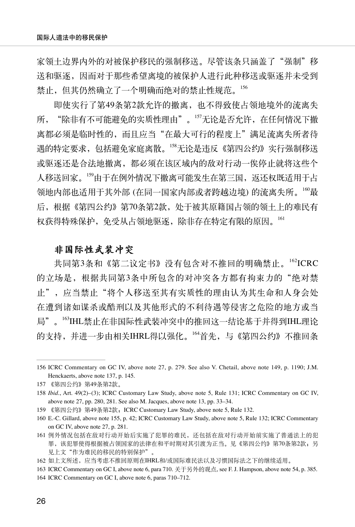家领土边界内外的对被保护移民的强制移送。尽管该条只涵盖了"强制"移 送和驱逐,因而对于那些希望离境的被保护人进行此种移送或驱逐并未受到 禁止,但其仍然确立了一个明确而绝对的禁止性规范。<sup>156</sup>

即使实行了第49条第2款允许的撤离,也不得致使占领地境外的流离失 所, "除非有不可能避免的实质性理由"。157无论是否允许, 在任何情况下撤 离都必须是临时性的,而且应当"在最大可行的程度上"满足流离失所者待 遇的特定要求,包括避免家庭离散。<sup>158</sup>无论是违反《第四公约》实行强制移送 或驱逐还是合法地撤离,都必须在该区域内的敌对行动一俟停止就将这些个 人移送回家。159由于在例外情况下撤离可能发生在第三国,返还权既适用于占 领地内部也适用于其外部 (在同一国家内部或者跨越边境) 的流离失所。100最 后,根据《第四公约》第70条第2款,处于被其原籍国占领的领土上的难民有 权获得特殊保护,免受从占领地驱逐,除非存在特定有限的原因。<sup>161</sup>

## 非国际性武装冲突

共同第3条和《第二议定书》没有包含对不推回的明确禁止。162ICRC 的立场是,根据共同第3条中所包含的对冲突各方都有拘束力的"绝对禁 止",应当禁止"将个人移送至其有实质性的理由认为其生命和人身会处 在遭到诸如谋杀或酷刑以及其他形式的不利待遇等侵害之危险的地方或当 局"。163IHL禁止在非国际性武装冲突中的推回这一结论基于并得到IHL理论 的支持, 并进一步由相关IHRL得以强化。<sup>164</sup>首先, 与《第四公约》不推回条

<sup>156</sup> ICRC Commentary on GC IV, above note 27, p. 279. See also V. Chetail, above note 149, p. 1190; J.M. Henckaerts, above note 137, p. 145.

<sup>157</sup> 《第四公约》第49条第2款。

<sup>158</sup> *Ibid*., Art. 49(2)–(3); ICRC Customary Law Study, above note 5, Rule 131; ICRC Commentary on GC IV, above note 27, pp. 280, 281. See also M. Jacques, above note 13, pp. 33–34.

<sup>159</sup> 《第四公约》第49条第2款;ICRC Customary Law Study, above note 5, Rule 132.

<sup>160</sup> E.-C. Gillard, above note 155, p. 42; ICRC Customary Law Study, above note 5, Rule 132; ICRC Commentary on GC IV, above note 27, p. 281.

<sup>161</sup> 例外情况包括在敌对行动开始后实施了犯罪的难民,还包括在敌对行动开始前实施了普通法上的犯 罪,该犯罪使得根据被占领国家的法律在和平时期对其引渡为正当。见《第四公约》第70条第2款;另 见上文"作为难民的移民的特别保护"。

<sup>162</sup> 如上文所述,应当考虑不推回原则在IHRL和/或国际难民法以及习惯国际法之下的继续适用。

<sup>163</sup> ICRC Commentary on GC I, above note 6, para 710. 关于另外的观点, see F. J. Hampson, above note 54, p. 385. 164 ICRC Commentary on GC I, above note 6, paras 710–712.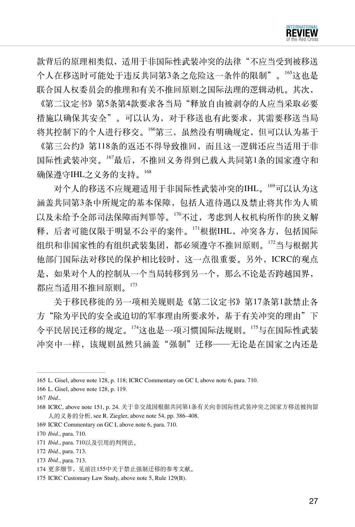

款背后的原理相类似,适用于非国际性武装冲突的法律"不应当受到被移送 个人在移送时可能处于违反共同第3条之危险这一条件的限制"。165这也是 联合国人权委员会的推理和有关不推回原则之国际法理的逻辑动机。其次,

《第二议定书》第5条第4款要求各当局"释放自由被剥夺的人应当采取必要 措施以确保其安全"。可以认为,对于移送也有此要求,其需要移送当局 将其控制下的个人进行移交。<sup>166</sup>第三,虽然没有明确规定,但可以认为基于

《第三公约》第118条的返还不得导致推回,而且这一逻辑还应当适用于非 国际性武装冲突。<sup>167</sup>最后,不推回义务得到已载入共同第1条的国家遵守和 确保遵守IHL之义务的支持。<sup>168</sup>

对个人的移送不应规避适用于非国际性武装冲突的IHL。<sup>169</sup>可以认为这 涵盖共同第3条中所规定的基本保障,包括人道待遇以及禁止将其作为人质 以及未给予全部司法保障而判罪等。<sup>170</sup>不过,考虑到人权机构所作的狭义解 释,后者可能仅限于明显不公平的案件。<sup>171</sup>根据IHL,冲突各方,包括国际 组织和非国家性的有组织武装集团,都必须遵守不推回原则。<sup>172</sup>当与根据其 他部门国际法对移民的保护相比较时,这一点很重要。另外,ICRC的观点 是,如果对个人的控制从一个当局转移到另一个,那么不论是否跨越国界, 都应当适用不推回原则。<sup>173</sup>

关于移民移徙的另一项相关规则是《第二议定书》第17条第1款禁止各 方"除为平民的安全或迫切的军事理由所要求外,基于有关冲突的理由"下 令平民居民迁移的规定。<sup>174</sup>这也是一项习惯国际法规则。<sup>175</sup>与在国际性武装 冲突中一样,该规则虽然只涵盖"强制"迁移 -- 无论是在国家之内还是

<sup>165</sup> L. Gisel, above note 128, p. 118; ICRC Commentary on GC I, above note 6, para. 710.

<sup>166</sup> L. Gisel, above note 128, p. 119.

<sup>167</sup> *Ibid*..

<sup>168</sup> ICRC, above note 151, p. 24. 关于非交战国根据共同第1条有关向非国际性武装冲突之国家方移送被拘留 人的义务的分析, see R. Ziegler, above note 54, pp. 386–408.

<sup>169</sup> ICRC Commentary on GC I, above note 6, para. 710.

<sup>170</sup> *Ibid*., para. 710.

<sup>171</sup> *Ibid*., para. 710以及引用的判例法。

<sup>172</sup> *Ibid*., para. 713.

<sup>173</sup> *Ibid*., para. 713.

<sup>174</sup> 更多细节,见前注155中关于禁止强制迁移的参考文献。

<sup>175</sup> ICRC Customary Law Study, above note 5, Rule 129(B).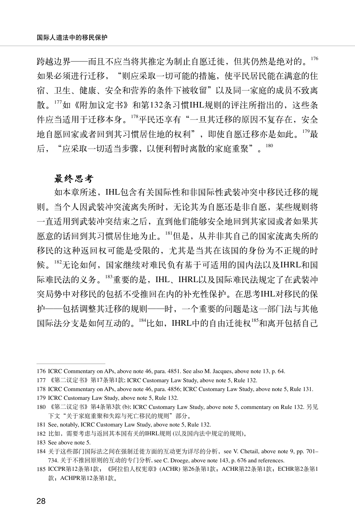跨越边界——而且不应当将其推定为制止自愿迁徙,但其仍然是绝对的。 如果必须进行迁移, "则应采取一切可能的措施, 使平民居民能在满意的住 宿、卫生、健康、安全和营养的条件下被收留"以及同一家庭的成员不致离 散。177如《附加议定书》和第132条习惯IHL规则的评注所指出的, 这些条 件应当适用于迁移本身。<sup>178</sup>平民还享有"一旦其迁移的原因不复存在,安全 地自愿回家或者回到其习惯居住地的权利", 即使自愿迁移亦是如此。179最 后, "应采取一切适当步骤, 以便利暂时离散的家庭重聚"。180

#### 最终思考

如本章所述,IHL包含有关国际性和非国际性武装冲突中移民迁移的规 则。当个人因武装冲突流离失所时,无论其为自愿还是非自愿,某些规则将 一直适用到武装冲突结束之后,直到他们能够安全地回到其家园或者如果其 愿意的话回到其习惯居住地为止。<sup>181</sup>但是,从并非其自己的国家流离失所的 移民的这种返回权可能是受限的,尤其是当其在该国的身份为不正规的时 候。182无论如何,国家继续对难民负有基于可适用的国内法以及IHRL和国 际难民法的义务。<sup>183</sup>重要的是,IHL、IHRL以及国际难民法规定了在武装冲 突局势中对移民的包括不受推回在内的补充性保护。在思考IHL对移民的保 护——包括调整其迁移的规则——时,一个重要的问题是这一部门法与其他 国际法分支是如何互动的。<sup>184</sup>比如, IHRL中的自由迁徙权<sup>185</sup>和离开包括自己

<sup>176</sup> ICRC Commentary on APs, above note 46, para. 4851. See also M. Jacques, above note 13, p. 64.

<sup>177</sup> 《第二议定书》第17条第1款; ICRC Customary Law Study, above note 5, Rule 132.

<sup>178</sup> ICRC Commentary on APs, above note 46, para. 4856; ICRC Customary Law Study, above note 5, Rule 131.

<sup>179</sup> ICRC Customary Law Study, above note 5, Rule 132.

<sup>180</sup> 《第二议定书》第4条第3款 (b); ICRC Customary Law Study, above note 5, commentary on Rule 132. 另见 下文"关于家庭重聚和失踪与死亡移民的规则"部分。

<sup>181</sup> See, notably, ICRC Customary Law Study, above note 5, Rule 132.

<sup>182</sup> 比如,需要考虑与返回其本国有关的IHRL规则 (以及国内法中规定的规则)。

<sup>183</sup> See above note 5.

<sup>184</sup> 关于这些部门国际法之间在强制迁徙方面的互动更为详尽的分析,see V. Chetail, above note 9, pp. 701– 734. 关于不推回原则的互动的专门分析, see C. Droege, above note 143, p. 676 and references.

<sup>185</sup> ICCPR第12条第1款;《阿拉伯人权宪章》(ACHR) 第26条第1款;ACHR第22条第1款;ECHR第2条第1 款; ACHPR第12条第1款。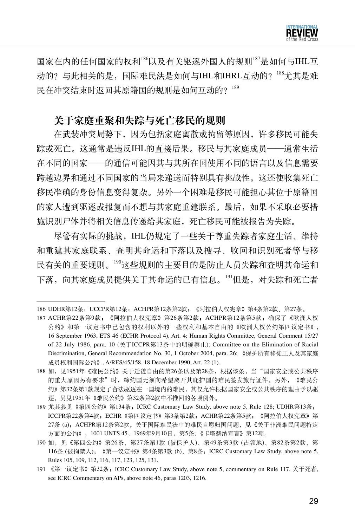

国家在内的任何国家的权利<sup>186</sup>以及有关驱逐外国人的规则<sup>187</sup>是如何与IHL互 动的?与此相关的是,国际难民法是如何与IHL和IHRL互动的?<sup>188</sup>尤其是难 民在冲突结束时返回其原籍国的规则是如何互动的? 189

## 关于家庭重聚和失踪与死亡移民的规则

在武装冲突局势下,因为包括家庭离散或拘留等原因,许多移民可能失 踪或死亡。这通常是违反IHL的直接后果。移民与其家庭成员——通常生活 在不同的国家——的通信可能因其与其所在国使用不同的语言以及信息需要 跨越边界和通过不同国家的当局来递送而特别具有挑战性。这还使收集死亡 移民准确的身份信息变得复杂。另外一个困难是移民可能担心其位于原籍国 的家人遭到驱逐或报复而不想与其家庭重建联系。最后,如果不采取必要措 施识别尸体并将相关信息传递给其家庭,死亡移民可能被报告为失踪。

尽管有实际的挑战,IHL仍规定了一些关于尊重失踪者家庭生活、维持 和重建其家庭联系、查明其命运和下落以及搜寻、收回和识别死者等与移 民有关的重要规则。<sup>190</sup>这些规则的主要目的是防止人员失踪和查明其命运和 下落,向其家庭成员提供关于其命运的已有信息。<sup>191</sup>但是,对失踪和死亡者

<sup>186</sup> UDHR第12条; UCCPR第12条; ACHPR第12条第2款; 《阿拉伯人权宪章》第4条第2款、第27条。

<sup>187</sup> ACHR第22条第9款;《阿拉伯人权宪章》第26条第2款;ACHPR第12条第5款;确保了《欧洲人权 公约》和第一议定书中已包含的权利以外的一些权利和基本自由的《欧洲人权公约第四议定书》, 16 September 1963, ETS 46 (ECHR Protocol 4), Art. 4; Human Rights Committee, General Comment 15/27 of 22 July 1986, para. 10 (关于ICCPR第13条中的明确禁止); Committee on the Elimination of Racial Discrimination, General Recommendation No. 30, 1 October 2004, para. 26; 《保护所有移徙工人及其家庭 成员权利国际公约》, A/RES/45/158, 18 December 1990, Art. 22 (1).

<sup>188</sup> 如, 见1951年《难民公约》关于迁徙自由的第26条以及第28条,根据该条, 当"国家安全或公共秩序 的重大原因另有要求"时,缔约国无须向希望离开其庇护国的难民签发旅行证件。另外,《难民公 约》第32条第1款规定了合法驱逐在一国境内的难民,其仅允许根据国家安全或公共秩序的理由予以驱 逐。另见1951年《难民公约》第32条第2款中不推回的各项例外。

<sup>189</sup> 尤其参见《第四公约》第134条;ICRC Customary Law Study, above note 5, Rule 128; UDHR第13条; ICCPR第22条第4款;ECHR《第四议定书》第3条第2款;ACHR第22条第5款;《阿拉伯人权宪章》第 27条 (a), ACHPR第12条第2款。关于国际难民法中的难民自愿归国问题, 见《关于非洲难民问题特定 方面的公约》,1001 UNTS 45,1969年9月10日,第5条; 《卡塔赫纳宣言》第12项。

<sup>190</sup> 如,见《第四公约》第26条、第27条第1款 (被保护人)、第49条第3款 (占领地)、第82条第2款、第 116条 (被拘禁人);《第一议定书》第4条第3款 (b)、第8条;ICRC Customary Law Study, above note 5, Rules 105, 109, 112, 116, 117, 123, 125, 131.

<sup>191</sup> 《第一议定书》第32条;ICRC Customary Law Study, above note 5, commentary on Rule 117. 关于死者, see ICRC Commentary on APs, above note 46, paras 1203, 1216.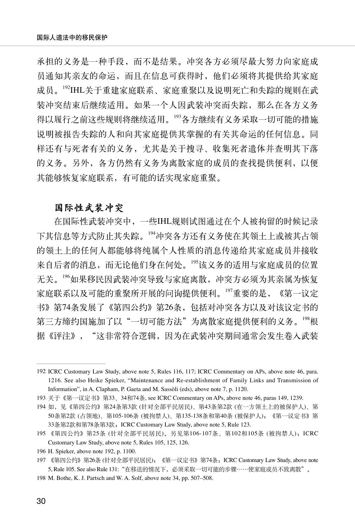承担的义务是一种手段,而不是结果。冲突各方必须尽最大努力向家庭成 员通知其亲友的命运,而且在信息可获得时,他们必须将其提供给其家庭 成员。192IHL关于重建家庭联系、家庭重聚以及说明死亡和失踪的规则在武 装冲突结束后继续适用。如果一个人因武装冲突而失踪,那么在各方义务 得以履行之前这些规则将继续适用。<sup>193</sup>各方继续有义务采取一切可能的措施 说明被报告失踪的人和向其家庭提供其掌握的有关其命运的任何信息。同 样还有与死者有关的义务,尤其是关于搜寻、收集死者遗体并查明其下落 的义务。另外,各方仍然有义务为离散家庭的成员的查找提供便利,以便 其能够恢复家庭联系,有可能的话实现家庭重聚。

## 国际性武装冲突

在国际性武装冲突中,一些IHL规则试图通过在个人被拘留的时候记录 下其信息等方式防止其失踪。<sup>194</sup>冲突各方还有义务使在其领土上或被其占领 的领土上的任何人都能够将纯属个人性质的消息传递给其家庭成员并接收 来自后者的消息,而无论他们身在何处。<sup>195</sup>该义务的适用与家庭成员的位置 无关。<sup>196</sup>如果移民因武装冲突导致与家庭离散,冲突方必须为其亲属为恢复 家庭联系以及可能的重聚所开展的问询提供便利。<sup>197</sup>重要的是,《第一议定 书》第74条发展了《第四公约》第26条,包括对冲突各方以及对该议定书的 第三方缔约国施加了以"一切可能方法"为离散家庭提供便利的义务。<sup>198</sup>根 据《评注》,"这非常符合逻辑,因为在武装冲突期间通常会发生卷入武装

<sup>192</sup> ICRC Customary Law Study, above note 5, Rules 116, 117; ICRC Commentary on APs, above note 46, para. 1216. See also Heike Spieker, "Maintenance and Re-establishment of Family Links and Transmission of Information", in A. Clapham, P. Gaeta and M. Sassòli (eds), above note 7, p. 1120.

<sup>193</sup> 关于《第一议定书》第33、34和74条, see ICRC Commentary on APs, above note 46, paras 149, 1239.

<sup>194</sup> 如,见《第四公约》第24条第3款 (针对全部平民居民)、第43条第2款 (在一方领土上的被保护人)、第 50条第2款 (占领地)、第105-106条 (被拘禁人)、第135-138条和第40条 (被保护人);《第一议定书》第 33条第2款和第78条第3款;ICRC Customary Law Study, above note 5, Rule 123.

<sup>195</sup> 《第四公约》第25条 (针对全部平民居民)。另见第106-107条、第102和105条 (被拘禁人);ICRC Customary Law Study, above note 5, Rules 105, 125, 126.

<sup>196</sup> H. Spieker, above note 192, p. 1100.

<sup>197</sup> 《第四公约》第26条 (针对全部平民居民);《第一议定书》第74条;ICRC Customary Law Study, above note 5, Rule 105. See also Rule 131: "在移送的情况下, 必须采取一切可能的步骤……使家庭成员不致离散"。

<sup>198</sup> M. Bothe, K. J. Partsch and W. A. Solf, above note 34, pp. 507–508.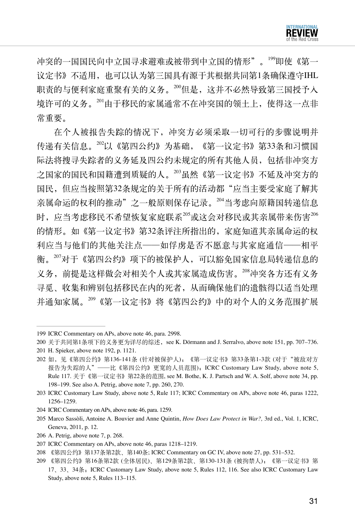冲突的一国国民向中立国寻求避难或被带到中立国的情形"。<sup>199</sup>即使《第一 议定书》不适用,也可以认为第三国具有源于其根据共同第1条确保遵守IHL 职责的与便利家庭重聚有关的义务。200但是,这并不必然导致第三国授予入 境许可的义务。<sup>201</sup>由于移民的家属通常不在冲突国的领土上,使得这一点非 常重要。

在个人被报告失踪的情况下,冲突方必须采取一切可行的步骤说明并 传递有关信息。<sup>202</sup>以《第四公约》为基础,《第一议定书》第33条和习惯国 际法将搜寻失踪者的义务延及四公约未规定的所有其他人员,包括非冲突方 之国家的国民和国籍遭到质疑的人。<sup>203</sup>虽然《第一议定书》不延及冲突方的 国民,但应当按照第32条规定的关于所有的活动都"应当主要受家庭了解其 亲属命运的权利的推动"之一般原则保存记录。204当考虑向原籍国转递信息 时,应当考虑移民不希望恢复家庭联系205或这会对移民或其亲属带来伤害206 的情形。如《第一议定书》第32条评注所指出的,家庭知道其亲属命运的权 利应当与他们的其他关注点——如俘虏是否不愿意与其家庭通信——相平 衡。<sup>207</sup>对于《第四公约》项下的被保护人,可以豁免国家信息局转递信息的 义务,前提是这样做会对相关个人或其家属造成伤害。<sup>208</sup>冲突各方还有义务 寻觅、收集和辨别包括移民在内的死者,从而确保他们的遗骸得以适当处理 并通知家属。<sup>209</sup>《第一议定书》将《第四公约》中的对个人的义务范围扩展

- 204 ICRC Commentary on APs, above note 46, para. 1259.
- 205 Marco Sassòli, Antoine A. Bouvier and Anne Quintin, *How Does Law Protect in War?,* 3rd ed., Vol. 1, ICRC, Geneva, 2011, p. 12.
- 206 A. Petrig, above note 7, p. 268.
- 207 ICRC Commentary on APs, above note 46, paras 1218–1219.
- 208 《第四公约》第137条第2款、第140条; ICRC Commentary on GC IV, above note 27, pp. 531–532.
- 209 《第四公约》第16条第2款 (全体居民)、第129条第2款、第130-131条 (被拘禁人);《第一议定书》第 17、33、34条;ICRC Customary Law Study, above note 5, Rules 112, 116. See also ICRC Customary Law Study, above note 5, Rules 113–115.

<sup>199</sup> ICRC Commentary on APs, above note 46, para. 2998.

<sup>200</sup> 关于共同第1条项下的义务更为详尽的综述,see K. Dörmann and J. Serralvo, above note 151, pp. 707–736.

<sup>201</sup> H. Spieker, above note 192, p. 1121.

<sup>202</sup> 如,见《第四公约》第136-141条 (针对被保护人);《第一议定书》第33条第1-3款 (对于"被敌对方 报告为失踪的人"——比《第四公约》更宽的人员范围);ICRC Customary Law Study, above note 5, Rule 117. 关于《第一议定书》第22条的范围, see M. Bothe, K. J. Partsch and W. A. Solf, above note 34, pp. 198–199. See also A. Petrig, above note 7, pp. 260, 270.

<sup>203</sup> ICRC Customary Law Study, above note 5, Rule 117; ICRC Commentary on APs, above note 46, paras 1222, 1256–1259.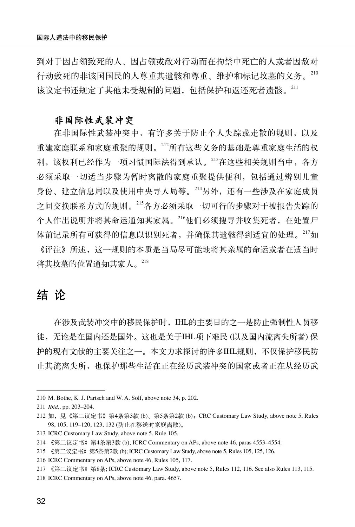到对于因占领致死的人、因占领或敌对行动而在拘禁中死亡的人或者因敌对 行动致死的非该国国民的人尊重其遗骸和尊重、维护和标记坟墓的义务。 该议定书还规定了其他未受规制的问题,包括保护和返还死者遗骸。211

#### 非国际性武装冲突

在非国际性武装冲突中,有许多关于防止个人失踪或走散的规则,以及 重建家庭联系和家庭重聚的规则。<sup>212</sup>所有这些义务的基础是尊重家庭生活的权 利,该权利已经作为一项习惯国际法得到承认。<sup>213</sup>在这些相关规则当中,各方 必须采取一切适当步骤为暂时离散的家庭重聚提供便利,包括通过辨别儿童 身份、建立信息局以及使用中央寻人局等。<sup>214</sup>另外,还有一些涉及在家庭成员 之间交换联系方式的规则。<sup>215</sup>各方必须采取一切可行的步骤对于被报告失踪的 个人作出说明并将其命运通知其家属。<sup>216</sup>他们必须搜寻并收集死者,在处置尸 体前记录所有可获得的信息以识别死者,并确保其遗骸得到适宜的处理。<sup>217</sup>如

《评注》所述,这一规则的本质是当局尽可能地将其亲属的命运或者在适当时 将其坟墓的位置通知其家人。218

# 结 论

在涉及武装冲突中的移民保护时,IHL的主要目的之一是防止强制性人员移 徙,无论是在国内还是国外。这也是关于IHL项下难民 (以及国内流离失所者) 保 护的现有文献的主要关注之一。本文力求探讨的许多IHL规则,不仅保护移民防 止其流离失所,也保护那些生活在正在经历武装冲突的国家或者正在从经历武

<sup>210</sup> M. Bothe, K. J. Partsch and W. A. Solf, above note 34, p. 202.

<sup>211</sup> *Ibid*., pp. 203–204.

<sup>212</sup> 如,见《第二议定书》第4条第3款 (b)、第5条第2款 (b); CRC Customary Law Study, above note 5, Rules 98, 105, 119–120, 123, 132 (防止在移送时家庭离散)。

<sup>213</sup> ICRC Customary Law Study, above note 5, Rule 105.

<sup>214</sup> 《第二议定书》第4条第3款 (b); ICRC Commentary on APs, above note 46, paras 4553–4554.

<sup>215</sup> 《第二议定书》第5条第2款 (b); ICRC Customary Law Study, above note 5, Rules 105, 125, 126.

<sup>216</sup> ICRC Commentary on APs, above note 46, Rules 105, 117.

<sup>217</sup> 《第二议定书》第8条; ICRC Customary Law Study, above note 5, Rules 112, 116. See also Rules 113, 115.

<sup>218</sup> ICRC Commentary on APs, above note 46, para. 4657.